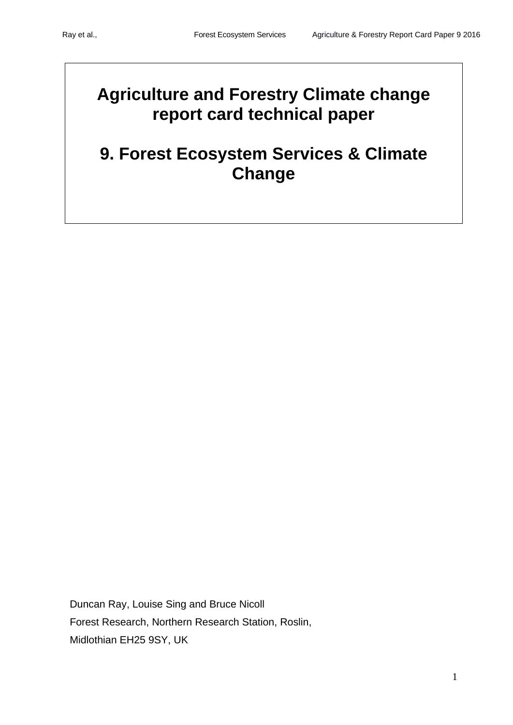# **Agriculture and Forestry Climate change report card technical paper**

# **9. Forest Ecosystem Services & Climate Change**

Duncan Ray, Louise Sing and Bruce Nicoll Forest Research, Northern Research Station, Roslin, Midlothian EH25 9SY, UK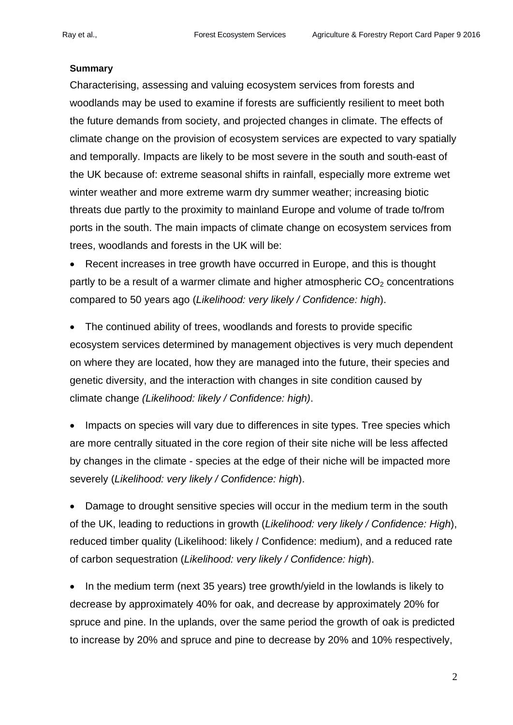### **Summary**

Characterising, assessing and valuing ecosystem services from forests and woodlands may be used to examine if forests are sufficiently resilient to meet both the future demands from society, and projected changes in climate. The effects of climate change on the provision of ecosystem services are expected to vary spatially and temporally. Impacts are likely to be most severe in the south and south-east of the UK because of: extreme seasonal shifts in rainfall, especially more extreme wet winter weather and more extreme warm dry summer weather; increasing biotic threats due partly to the proximity to mainland Europe and volume of trade to/from ports in the south. The main impacts of climate change on ecosystem services from trees, woodlands and forests in the UK will be:

• Recent increases in tree growth have occurred in Europe, and this is thought partly to be a result of a warmer climate and higher atmospheric  $CO<sub>2</sub>$  concentrations compared to 50 years ago (*Likelihood: very likely / Confidence: high*).

• The continued ability of trees, woodlands and forests to provide specific ecosystem services determined by management objectives is very much dependent on where they are located, how they are managed into the future, their species and genetic diversity, and the interaction with changes in site condition caused by climate change *(Likelihood: likely / Confidence: high)*.

• Impacts on species will vary due to differences in site types. Tree species which are more centrally situated in the core region of their site niche will be less affected by changes in the climate - species at the edge of their niche will be impacted more severely (*Likelihood: very likely / Confidence: high*).

• Damage to drought sensitive species will occur in the medium term in the south of the UK, leading to reductions in growth (*Likelihood: very likely / Confidence: High*), reduced timber quality (Likelihood: likely / Confidence: medium), and a reduced rate of carbon sequestration (*Likelihood: very likely / Confidence: high*).

• In the medium term (next 35 years) tree growth/yield in the lowlands is likely to decrease by approximately 40% for oak, and decrease by approximately 20% for spruce and pine. In the uplands, over the same period the growth of oak is predicted to increase by 20% and spruce and pine to decrease by 20% and 10% respectively,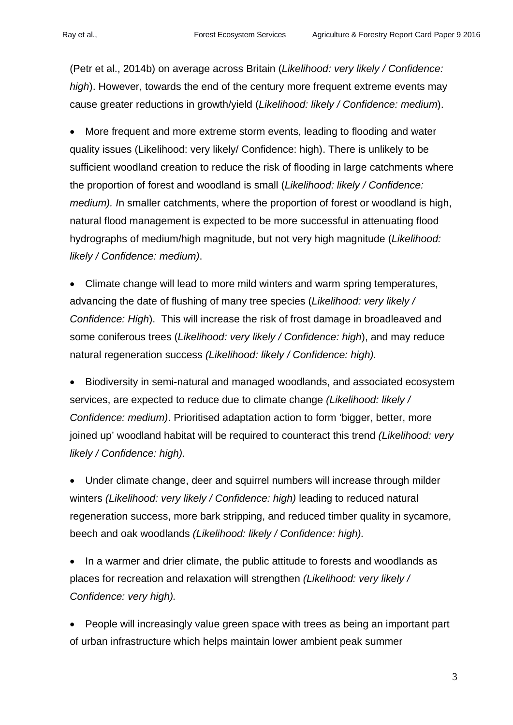(Petr et al., 2014b) on average across Britain (*Likelihood: very likely / Confidence: high*). However, towards the end of the century more frequent extreme events may cause greater reductions in growth/yield (*Likelihood: likely / Confidence: medium*).

• More frequent and more extreme storm events, leading to flooding and water quality issues (Likelihood: very likely/ Confidence: high). There is unlikely to be sufficient woodland creation to reduce the risk of flooding in large catchments where the proportion of forest and woodland is small (*Likelihood: likely / Confidence: medium). I*n smaller catchments, where the proportion of forest or woodland is high, natural flood management is expected to be more successful in attenuating flood hydrographs of medium/high magnitude, but not very high magnitude (*Likelihood: likely / Confidence: medium)*.

• Climate change will lead to more mild winters and warm spring temperatures, advancing the date of flushing of many tree species (*Likelihood: very likely / Confidence: High*). This will increase the risk of frost damage in broadleaved and some coniferous trees (*Likelihood: very likely / Confidence: high*), and may reduce natural regeneration success *(Likelihood: likely / Confidence: high).*

• Biodiversity in semi-natural and managed woodlands, and associated ecosystem services, are expected to reduce due to climate change *(Likelihood: likely / Confidence: medium)*. Prioritised adaptation action to form 'bigger, better, more joined up' woodland habitat will be required to counteract this trend *(Likelihood: very likely / Confidence: high).*

• Under climate change, deer and squirrel numbers will increase through milder winters *(Likelihood: very likely / Confidence: high)* leading to reduced natural regeneration success, more bark stripping, and reduced timber quality in sycamore, beech and oak woodlands *(Likelihood: likely / Confidence: high).*

• In a warmer and drier climate, the public attitude to forests and woodlands as places for recreation and relaxation will strengthen *(Likelihood: very likely / Confidence: very high).* 

• People will increasingly value green space with trees as being an important part of urban infrastructure which helps maintain lower ambient peak summer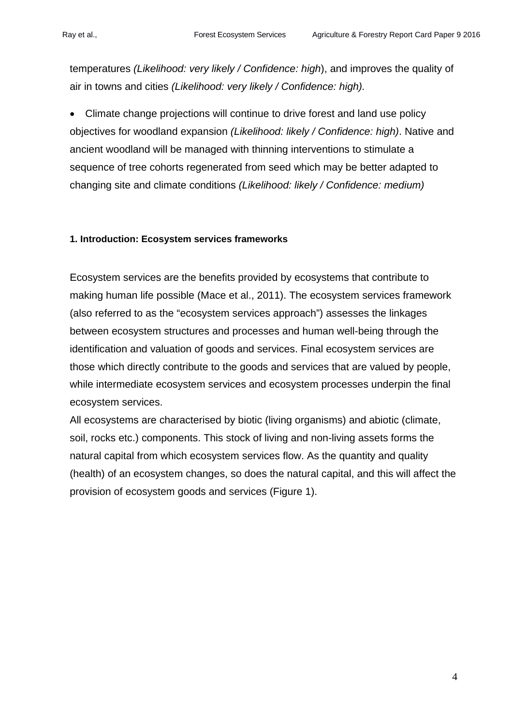temperatures *(Likelihood: very likely / Confidence: high*), and improves the quality of air in towns and cities *(Likelihood: very likely / Confidence: high).*

• Climate change projections will continue to drive forest and land use policy objectives for woodland expansion *(Likelihood: likely / Confidence: high)*. Native and ancient woodland will be managed with thinning interventions to stimulate a sequence of tree cohorts regenerated from seed which may be better adapted to changing site and climate conditions *(Likelihood: likely / Confidence: medium)*

### **1. Introduction: Ecosystem services frameworks**

Ecosystem services are the benefits provided by ecosystems that contribute to making human life possible (Mace et al., 2011). The ecosystem services framework (also referred to as the "ecosystem services approach") assesses the linkages between ecosystem structures and processes and human well-being through the identification and valuation of goods and services. Final ecosystem services are those which directly contribute to the goods and services that are valued by people, while intermediate ecosystem services and ecosystem processes underpin the final ecosystem services.

All ecosystems are characterised by biotic (living organisms) and abiotic (climate, soil, rocks etc.) components. This stock of living and non-living assets forms the natural capital from which ecosystem services flow. As the quantity and quality (health) of an ecosystem changes, so does the natural capital, and this will affect the provision of ecosystem goods and services (Figure 1).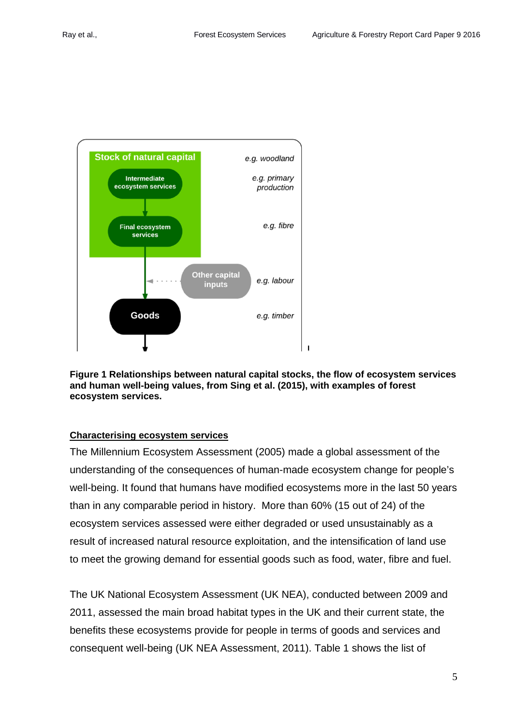

**Figure 1 Relationships between natural capital stocks, the flow of ecosystem services and human well-being values, from Sing et al. (2015), with examples of forest ecosystem services.**

#### **Characterising ecosystem services**

The Millennium Ecosystem Assessment (2005) made a global assessment of the understanding of the consequences of human-made ecosystem change for people's well-being. It found that humans have modified ecosystems more in the last 50 years than in any comparable period in history. More than 60% (15 out of 24) of the ecosystem services assessed were either degraded or used unsustainably as a result of increased natural resource exploitation, and the intensification of land use to meet the growing demand for essential goods such as food, water, fibre and fuel.

The UK National Ecosystem Assessment (UK NEA), conducted between 2009 and 2011, assessed the main broad habitat types in the UK and their current state, the benefits these ecosystems provide for people in terms of goods and services and consequent well-being (UK NEA Assessment, 2011). Table 1 shows the list of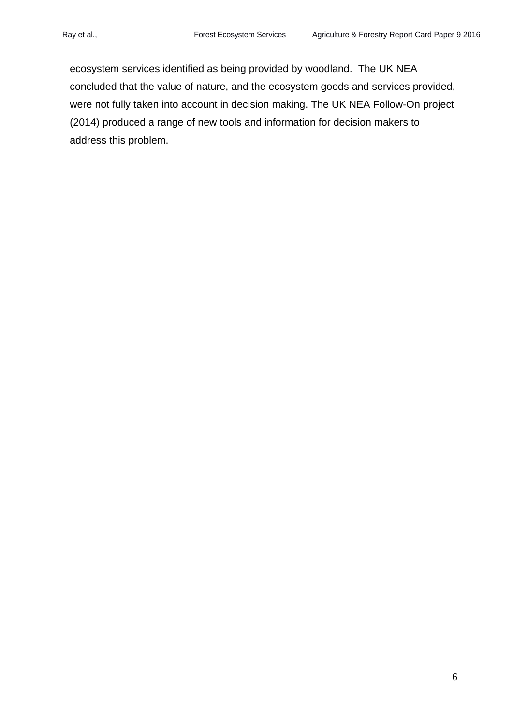ecosystem services identified as being provided by woodland. The UK NEA concluded that the value of nature, and the ecosystem goods and services provided, were not fully taken into account in decision making. The UK NEA Follow-On project (2014) produced a range of new tools and information for decision makers to address this problem.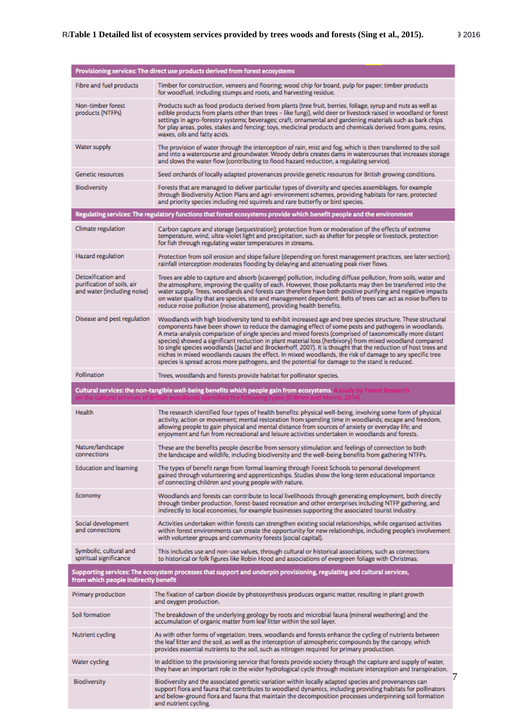| Provisioning services: The direct use products derived from forest ecosystems                                                                                  |                                                                                                                                                                                                                                                                                                                                                                                                                                                                                                                                                                                                                                                                                                                                                                         |
|----------------------------------------------------------------------------------------------------------------------------------------------------------------|-------------------------------------------------------------------------------------------------------------------------------------------------------------------------------------------------------------------------------------------------------------------------------------------------------------------------------------------------------------------------------------------------------------------------------------------------------------------------------------------------------------------------------------------------------------------------------------------------------------------------------------------------------------------------------------------------------------------------------------------------------------------------|
| Fibre and fuel products                                                                                                                                        | Timber for construction, veneers and flooring; wood chip for board, pulp for paper; timber products<br>for woodfuel, including stumps and roots, and harvesting residue.                                                                                                                                                                                                                                                                                                                                                                                                                                                                                                                                                                                                |
| Non-timber forest<br>products (NTFPs)                                                                                                                          | Products such as food products derived from plants (tree fruit, berries, foliage, syrup and nuts as well as<br>edible products from plants other than trees - like fungi), wild deer or livestock raised in woodland or forest<br>settings in agro-forestry systems; beverages; craft, ornamental and gardening materials such as bark chips<br>for play areas, poles, stakes and fencing; toys, medicinal products and chemicals derived from gums, resins,<br>waxes, oils and fatty acids.                                                                                                                                                                                                                                                                            |
| Water supply                                                                                                                                                   | The provision of water through the interception of rain, mist and fog, which is then transferred to the soil<br>and into a watercourse and groundwater. Woody debris creates dams in watercourses that increases storage<br>and slows the water flow (contributing to flood hazard reduction, a regulating service).                                                                                                                                                                                                                                                                                                                                                                                                                                                    |
| <b>Genetic resources</b>                                                                                                                                       | Seed orchards of locally adapted provenances provide genetic resources for British growing conditions.                                                                                                                                                                                                                                                                                                                                                                                                                                                                                                                                                                                                                                                                  |
| <b>Biodiversity</b>                                                                                                                                            | Forests that are managed to deliver particular types of diversity and species assemblages, for example<br>through Biodiversity Action Plans and agri-environment schemes, providing habitats for rare, protected<br>and priority species including red squirrels and rare butterfly or bird species.                                                                                                                                                                                                                                                                                                                                                                                                                                                                    |
| Regulating services: The regulatory functions that forest ecosystems provide which benefit people and the environment                                          |                                                                                                                                                                                                                                                                                                                                                                                                                                                                                                                                                                                                                                                                                                                                                                         |
| Climate regulation                                                                                                                                             | Carbon capture and storage (sequestration); protection from or moderation of the effects of extreme<br>temperature, wind, ultra-violet light and precipitation, such as shelter for people or livestock, protection<br>for fish through regulating water temperatures in streams.                                                                                                                                                                                                                                                                                                                                                                                                                                                                                       |
| Hazard regulation                                                                                                                                              | Protection from soil erosion and slope failure (depending on forest management practices, see later section);<br>rainfall interception moderates flooding by delaying and attenuating peak river flows.                                                                                                                                                                                                                                                                                                                                                                                                                                                                                                                                                                 |
| Detoxification and<br>purification of soils, air<br>and water (including noise)                                                                                | Trees are able to capture and absorb (scavenge) pollution, including diffuse pollution, from soils, water and<br>the atmosphere, improving the quality of each. However, those pollutants may then be transferred into the<br>water supply. Trees, woodlands and forests can therefore have both positive purifying and negative impacts<br>on water quality that are species, site and management dependent. Belts of trees can act as noise buffers to<br>reduce noise pollution (noise abatement), providing health benefits.                                                                                                                                                                                                                                        |
| Disease and pest regulation                                                                                                                                    | Woodlands with high biodiversity tend to exhibit increased age and tree species structure. These structural<br>components have been shown to reduce the damaging effect of some pests and pathogens in woodlands.<br>A meta-analysis comparison of single species and mixed forests (comprised of taxonomically more distant<br>species) showed a significant reduction in plant material loss (herbivory) from mixed woodland compared<br>to single species woodlands (Jactel and Brockerhoff, 2007). It is thought that the reduction of host trees and<br>niches in mixed woodlands causes the effect. In mixed woodlands, the risk of damage to any specific tree<br>species is spread across more pathogens, and the potential for damage to the stand is reduced. |
| Pollination                                                                                                                                                    | Trees, woodlands and forests provide habitat for pollinator species.                                                                                                                                                                                                                                                                                                                                                                                                                                                                                                                                                                                                                                                                                                    |
| Cultural services: the non-tangible well-being benefits which people gain from ecosystems.                                                                     |                                                                                                                                                                                                                                                                                                                                                                                                                                                                                                                                                                                                                                                                                                                                                                         |
| Health                                                                                                                                                         | The research identified four types of health benefits: physical well-being, involving some form of physical<br>activity, action or movement; mental restoration from spending time in woodlands; escape and freedom,<br>allowing people to gain physical and mental distance from sources of anxiety or everyday life; and<br>enjoyment and fun from recreational and leisure activities undertaken in woodlands and forests.                                                                                                                                                                                                                                                                                                                                           |
| Nature/landscape<br>connections                                                                                                                                | These are the benefits people describe from sensory stimulation and feelings of connection to both<br>the landscape and wildlife, including biodiversity and the well-being benefits from gathering NTFPs.                                                                                                                                                                                                                                                                                                                                                                                                                                                                                                                                                              |
| <b>Education and learning</b>                                                                                                                                  | The types of benefit range from formal learning through Forest Schools to personal development<br>gained through volunteering and apprenticeships. Studies show the long-term educational importance<br>of connecting children and young people with nature.                                                                                                                                                                                                                                                                                                                                                                                                                                                                                                            |
| Economy                                                                                                                                                        | Woodlands and forests can contribute to local livelihoods through generating employment, both directly<br>through timber production, forest-based recreation and other enterprises including NTFP gathering, and<br>indirectly to local economies, for example businesses supporting the associated tourist industry.                                                                                                                                                                                                                                                                                                                                                                                                                                                   |
| Social development<br>and connections                                                                                                                          | Activities undertaken within forests can strengthen existing social relationships, while organised activities<br>within forest environments can create the opportunity for new relationships, including people's involvement<br>with volunteer groups and community forests (social capital).                                                                                                                                                                                                                                                                                                                                                                                                                                                                           |
| Symbolic, cultural and<br>spiritual significance                                                                                                               | This includes use and non-use values, through cultural or historical associations, such as connections<br>to historical or folk figures like Robin Hood and associations of evergreen foliage with Christmas.                                                                                                                                                                                                                                                                                                                                                                                                                                                                                                                                                           |
| Supporting services: The ecosystem processes that support and underpin provisioning, regulating and cultural services,<br>from which people indirectly benefit |                                                                                                                                                                                                                                                                                                                                                                                                                                                                                                                                                                                                                                                                                                                                                                         |
| Primary production                                                                                                                                             | The fixation of carbon dioxide by photosynthesis produces organic matter, resulting in plant growth<br>and oxygen production.                                                                                                                                                                                                                                                                                                                                                                                                                                                                                                                                                                                                                                           |
| Soil formation                                                                                                                                                 | The breakdown of the underlying geology by roots and microbial fauna (mineral weathering) and the<br>accumulation of organic matter from leaf litter within the soil layer.                                                                                                                                                                                                                                                                                                                                                                                                                                                                                                                                                                                             |
| Nutrient cycling                                                                                                                                               | As with other forms of vegetation, trees, woodlands and forests enhance the cycling of nutrients between<br>the leaf litter and the soil, as well as the interception of atmospheric compounds by the canopy, which<br>provides essential nutrients to the soil, such as nitrogen required for primary production.                                                                                                                                                                                                                                                                                                                                                                                                                                                      |
| Water cycling                                                                                                                                                  | In addition to the provisioning service that forests provide society through the capture and supply of water,<br>they have an important role in the wider hydrological cycle through moisture interception and transpiration.                                                                                                                                                                                                                                                                                                                                                                                                                                                                                                                                           |
| <b>Biodiversity</b>                                                                                                                                            | 7<br>Biodiversity and the associated genetic variation within locally adapted species and provenances can<br>support flora and fauna that contributes to woodland dynamics, including providing habitats for pollinators<br>and below-ground flora and fauna that maintain the decomposition processes underpinning soil formation<br>and nutrient cycling.                                                                                                                                                                                                                                                                                                                                                                                                             |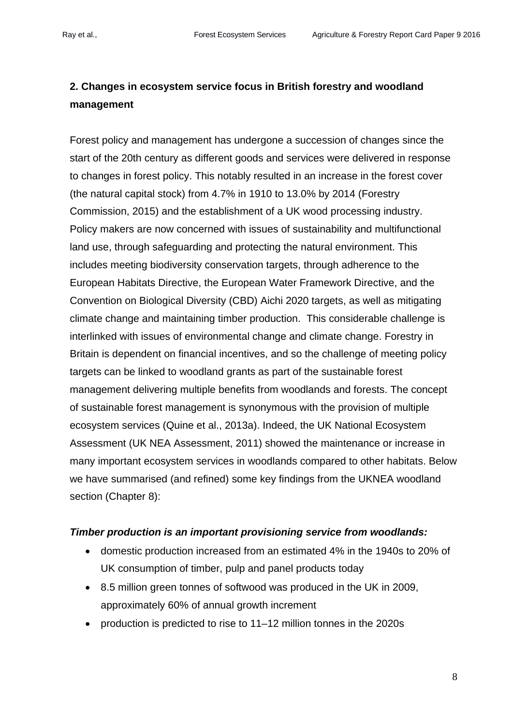# **2. Changes in ecosystem service focus in British forestry and woodland management**

Forest policy and management has undergone a succession of changes since the start of the 20th century as different goods and services were delivered in response to changes in forest policy. This notably resulted in an increase in the forest cover (the natural capital stock) from 4.7% in 1910 to 13.0% by 2014 (Forestry Commission, 2015) and the establishment of a UK wood processing industry. Policy makers are now concerned with issues of sustainability and multifunctional land use, through safeguarding and protecting the natural environment. This includes meeting biodiversity conservation targets, through adherence to the European Habitats Directive, the European Water Framework Directive, and the Convention on Biological Diversity (CBD) Aichi 2020 targets, as well as mitigating climate change and maintaining timber production. This considerable challenge is interlinked with issues of environmental change and climate change. Forestry in Britain is dependent on financial incentives, and so the challenge of meeting policy targets can be linked to woodland grants as part of the sustainable forest management delivering multiple benefits from woodlands and forests. The concept of sustainable forest management is synonymous with the provision of multiple ecosystem services (Quine et al., 2013a). Indeed, the UK National Ecosystem Assessment (UK NEA Assessment, 2011) showed the maintenance or increase in many important ecosystem services in woodlands compared to other habitats. Below we have summarised (and refined) some key findings from the UKNEA woodland section (Chapter 8):

#### *Timber production is an important provisioning service from woodlands:*

- domestic production increased from an estimated 4% in the 1940s to 20% of UK consumption of timber, pulp and panel products today
- 8.5 million green tonnes of softwood was produced in the UK in 2009, approximately 60% of annual growth increment
- production is predicted to rise to 11–12 million tonnes in the 2020s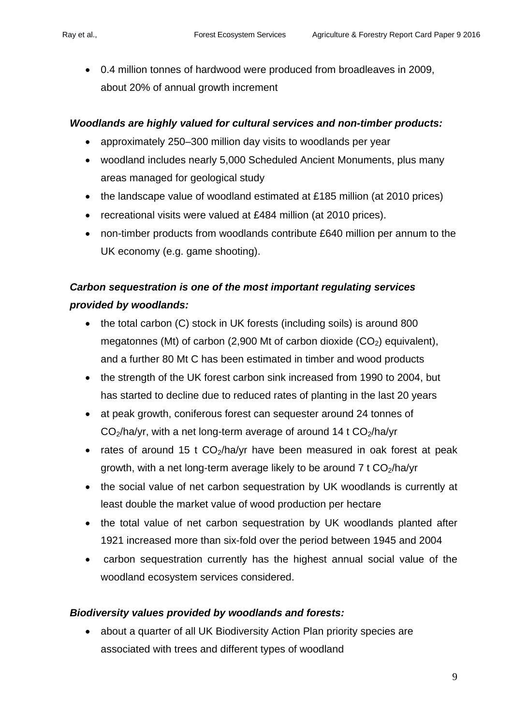• 0.4 million tonnes of hardwood were produced from broadleaves in 2009, about 20% of annual growth increment

# *Woodlands are highly valued for cultural services and non-timber products:*

- approximately 250–300 million day visits to woodlands per year
- woodland includes nearly 5,000 Scheduled Ancient Monuments, plus many areas managed for geological study
- the landscape value of woodland estimated at £185 million (at 2010 prices)
- recreational visits were valued at £484 million (at 2010 prices).
- non-timber products from woodlands contribute £640 million per annum to the UK economy (e.g. game shooting).

# *Carbon sequestration is one of the most important regulating services provided by woodlands:*

- the total carbon (C) stock in UK forests (including soils) is around 800 megatonnes (Mt) of carbon (2,900 Mt of carbon dioxide  $(CO<sub>2</sub>)$  equivalent), and a further 80 Mt C has been estimated in timber and wood products
- the strength of the UK forest carbon sink increased from 1990 to 2004, but has started to decline due to reduced rates of planting in the last 20 years
- at peak growth, coniferous forest can sequester around 24 tonnes of  $CO<sub>2</sub>/h$ a/yr, with a net long-term average of around 14 t  $CO<sub>2</sub>/h$ a/yr
- rates of around 15 t  $CO<sub>2</sub>/h$ a/yr have been measured in oak forest at peak growth, with a net long-term average likely to be around  $7 \text{ t } CO_2/ha/\text{yr}$
- the social value of net carbon sequestration by UK woodlands is currently at least double the market value of wood production per hectare
- the total value of net carbon sequestration by UK woodlands planted after 1921 increased more than six-fold over the period between 1945 and 2004
- carbon sequestration currently has the highest annual social value of the woodland ecosystem services considered.

# *Biodiversity values provided by woodlands and forests:*

• about a quarter of all UK Biodiversity Action Plan priority species are associated with trees and different types of woodland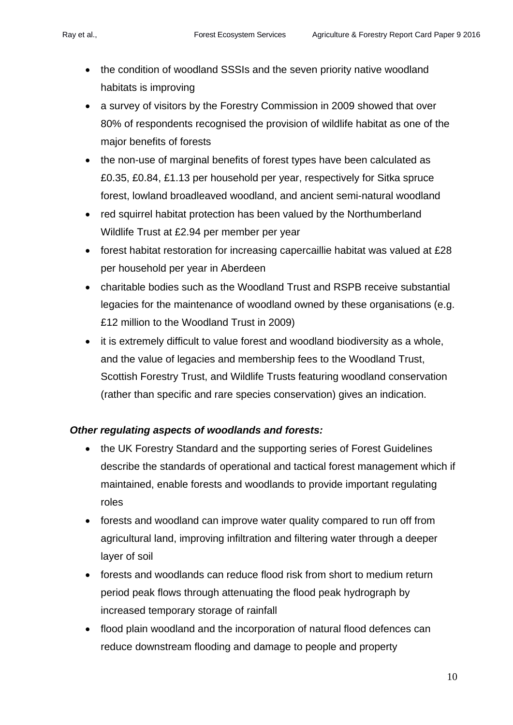- the condition of woodland SSSIs and the seven priority native woodland habitats is improving
- a survey of visitors by the Forestry Commission in 2009 showed that over 80% of respondents recognised the provision of wildlife habitat as one of the major benefits of forests
- the non-use of marginal benefits of forest types have been calculated as £0.35, £0.84, £1.13 per household per year, respectively for Sitka spruce forest, lowland broadleaved woodland, and ancient semi-natural woodland
- red squirrel habitat protection has been valued by the Northumberland Wildlife Trust at £2.94 per member per year
- forest habitat restoration for increasing capercaillie habitat was valued at £28 per household per year in Aberdeen
- charitable bodies such as the Woodland Trust and RSPB receive substantial legacies for the maintenance of woodland owned by these organisations (e.g. £12 million to the Woodland Trust in 2009)
- it is extremely difficult to value forest and woodland biodiversity as a whole, and the value of legacies and membership fees to the Woodland Trust, Scottish Forestry Trust, and Wildlife Trusts featuring woodland conservation (rather than specific and rare species conservation) gives an indication.

# *Other regulating aspects of woodlands and forests:*

- the UK Forestry Standard and the supporting series of Forest Guidelines describe the standards of operational and tactical forest management which if maintained, enable forests and woodlands to provide important regulating roles
- forests and woodland can improve water quality compared to run off from agricultural land, improving infiltration and filtering water through a deeper layer of soil
- forests and woodlands can reduce flood risk from short to medium return period peak flows through attenuating the flood peak hydrograph by increased temporary storage of rainfall
- flood plain woodland and the incorporation of natural flood defences can reduce downstream flooding and damage to people and property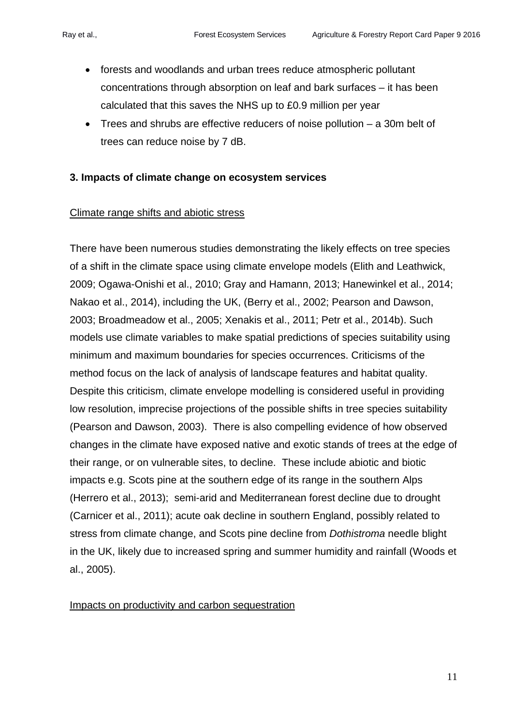- forests and woodlands and urban trees reduce atmospheric pollutant concentrations through absorption on leaf and bark surfaces – it has been calculated that this saves the NHS up to £0.9 million per year
- Trees and shrubs are effective reducers of noise pollution a 30m belt of trees can reduce noise by 7 dB.

# **3. Impacts of climate change on ecosystem services**

### Climate range shifts and abiotic stress

There have been numerous studies demonstrating the likely effects on tree species of a shift in the climate space using climate envelope models (Elith and Leathwick, 2009; Ogawa-Onishi et al., 2010; Gray and Hamann, 2013; Hanewinkel et al., 2014; Nakao et al., 2014), including the UK, (Berry et al., 2002; Pearson and Dawson, 2003; Broadmeadow et al., 2005; Xenakis et al., 2011; Petr et al., 2014b). Such models use climate variables to make spatial predictions of species suitability using minimum and maximum boundaries for species occurrences. Criticisms of the method focus on the lack of analysis of landscape features and habitat quality. Despite this criticism, climate envelope modelling is considered useful in providing low resolution, imprecise projections of the possible shifts in tree species suitability (Pearson and Dawson, 2003). There is also compelling evidence of how observed changes in the climate have exposed native and exotic stands of trees at the edge of their range, or on vulnerable sites, to decline. These include abiotic and biotic impacts e.g. Scots pine at the southern edge of its range in the southern Alps (Herrero et al., 2013); semi-arid and Mediterranean forest decline due to drought (Carnicer et al., 2011); acute oak decline in southern England, possibly related to stress from climate change, and Scots pine decline from *Dothistroma* needle blight in the UK, likely due to increased spring and summer humidity and rainfall (Woods et al., 2005).

#### Impacts on productivity and carbon sequestration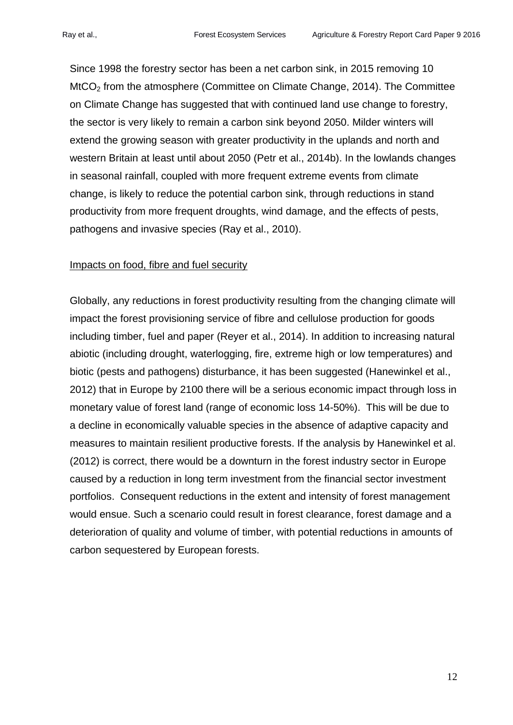Since 1998 the forestry sector has been a net carbon sink, in 2015 removing 10 MtCO<sub>2</sub> from the atmosphere (Committee on Climate Change, 2014). The Committee on Climate Change has suggested that with continued land use change to forestry, the sector is very likely to remain a carbon sink beyond 2050. Milder winters will extend the growing season with greater productivity in the uplands and north and western Britain at least until about 2050 (Petr et al., 2014b). In the lowlands changes in seasonal rainfall, coupled with more frequent extreme events from climate change, is likely to reduce the potential carbon sink, through reductions in stand productivity from more frequent droughts, wind damage, and the effects of pests, pathogens and invasive species (Ray et al., 2010).

#### Impacts on food, fibre and fuel security

Globally, any reductions in forest productivity resulting from the changing climate will impact the forest provisioning service of fibre and cellulose production for goods including timber, fuel and paper (Reyer et al., 2014). In addition to increasing natural abiotic (including drought, waterlogging, fire, extreme high or low temperatures) and biotic (pests and pathogens) disturbance, it has been suggested (Hanewinkel et al., 2012) that in Europe by 2100 there will be a serious economic impact through loss in monetary value of forest land (range of economic loss 14-50%). This will be due to a decline in economically valuable species in the absence of adaptive capacity and measures to maintain resilient productive forests. If the analysis by Hanewinkel et al. (2012) is correct, there would be a downturn in the forest industry sector in Europe caused by a reduction in long term investment from the financial sector investment portfolios. Consequent reductions in the extent and intensity of forest management would ensue. Such a scenario could result in forest clearance, forest damage and a deterioration of quality and volume of timber, with potential reductions in amounts of carbon sequestered by European forests.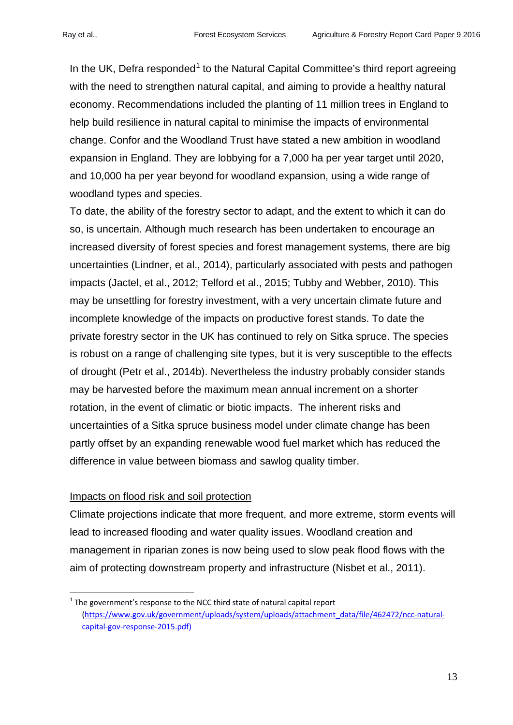In the UK, Defra responded<sup>[1](#page-12-0)</sup> to the Natural Capital Committee's third report agreeing with the need to strengthen natural capital, and aiming to provide a healthy natural economy. Recommendations included the planting of 11 million trees in England to help build resilience in natural capital to minimise the impacts of environmental change. Confor and the Woodland Trust have stated a new ambition in woodland expansion in England. They are lobbying for a 7,000 ha per year target until 2020, and 10,000 ha per year beyond for woodland expansion, using a wide range of woodland types and species.

To date, the ability of the forestry sector to adapt, and the extent to which it can do so, is uncertain. Although much research has been undertaken to encourage an increased diversity of forest species and forest management systems, there are big uncertainties (Lindner, et al., 2014), particularly associated with pests and pathogen impacts (Jactel, et al., 2012; Telford et al., 2015; Tubby and Webber, 2010). This may be unsettling for forestry investment, with a very uncertain climate future and incomplete knowledge of the impacts on productive forest stands. To date the private forestry sector in the UK has continued to rely on Sitka spruce. The species is robust on a range of challenging site types, but it is very susceptible to the effects of drought (Petr et al., 2014b). Nevertheless the industry probably consider stands may be harvested before the maximum mean annual increment on a shorter rotation, in the event of climatic or biotic impacts. The inherent risks and uncertainties of a Sitka spruce business model under climate change has been partly offset by an expanding renewable wood fuel market which has reduced the difference in value between biomass and sawlog quality timber.

# Impacts on flood risk and soil protection

-

Climate projections indicate that more frequent, and more extreme, storm events will lead to increased flooding and water quality issues. Woodland creation and management in riparian zones is now being used to slow peak flood flows with the aim of protecting downstream property and infrastructure (Nisbet et al., 2011).

<span id="page-12-0"></span> $1$  The government's response to the NCC third state of natural capital report [\(https://www.gov.uk/government/uploads/system/uploads/attachment\\_data/file/462472/ncc-natural](https://www.gov.uk/government/uploads/system/uploads/attachment_data/file/462472/ncc-natural-capital-gov-response-2015.pdf))[capital-gov-response-2015.pdf\)](https://www.gov.uk/government/uploads/system/uploads/attachment_data/file/462472/ncc-natural-capital-gov-response-2015.pdf))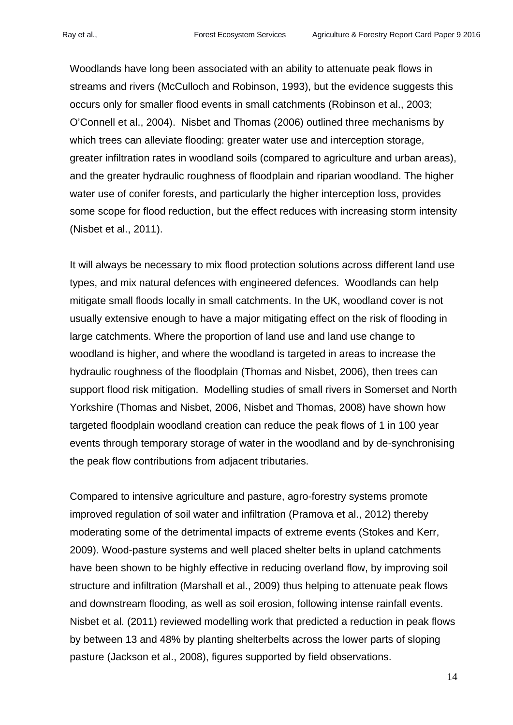Woodlands have long been associated with an ability to attenuate peak flows in streams and rivers (McCulloch and Robinson, 1993), but the evidence suggests this occurs only for smaller flood events in small catchments (Robinson et al., 2003; O'Connell et al., 2004). Nisbet and Thomas (2006) outlined three mechanisms by which trees can alleviate flooding: greater water use and interception storage, greater infiltration rates in woodland soils (compared to agriculture and urban areas), and the greater hydraulic roughness of floodplain and riparian woodland. The higher water use of conifer forests, and particularly the higher interception loss, provides some scope for flood reduction, but the effect reduces with increasing storm intensity (Nisbet et al., 2011).

It will always be necessary to mix flood protection solutions across different land use types, and mix natural defences with engineered defences. Woodlands can help mitigate small floods locally in small catchments. In the UK, woodland cover is not usually extensive enough to have a major mitigating effect on the risk of flooding in large catchments. Where the proportion of land use and land use change to woodland is higher, and where the woodland is targeted in areas to increase the hydraulic roughness of the floodplain (Thomas and Nisbet, 2006), then trees can support flood risk mitigation. Modelling studies of small rivers in Somerset and North Yorkshire (Thomas and Nisbet, 2006, Nisbet and Thomas, 2008) have shown how targeted floodplain woodland creation can reduce the peak flows of 1 in 100 year events through temporary storage of water in the woodland and by de-synchronising the peak flow contributions from adjacent tributaries.

Compared to intensive agriculture and pasture, agro-forestry systems promote improved regulation of soil water and infiltration (Pramova et al., 2012) thereby moderating some of the detrimental impacts of extreme events (Stokes and Kerr, 2009). Wood-pasture systems and well placed shelter belts in upland catchments have been shown to be highly effective in reducing overland flow, by improving soil structure and infiltration (Marshall et al., 2009) thus helping to attenuate peak flows and downstream flooding, as well as soil erosion, following intense rainfall events. Nisbet et al. (2011) reviewed modelling work that predicted a reduction in peak flows by between 13 and 48% by planting shelterbelts across the lower parts of sloping pasture (Jackson et al., 2008), figures supported by field observations.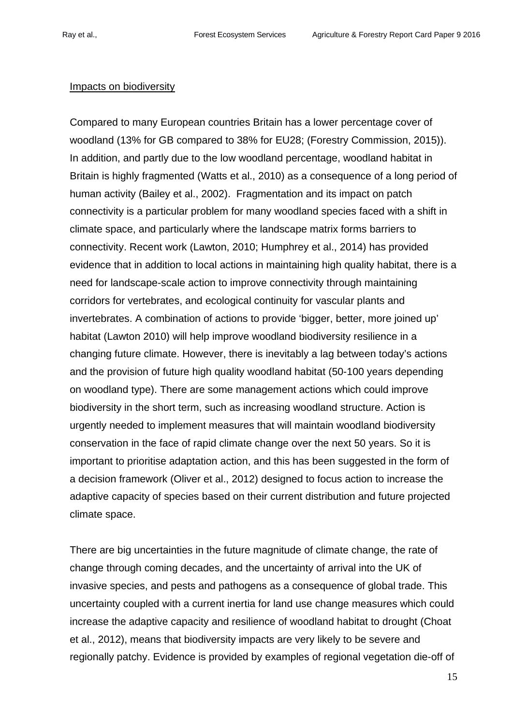# Impacts on biodiversity

Compared to many European countries Britain has a lower percentage cover of woodland (13% for GB compared to 38% for EU28; (Forestry Commission, 2015)). In addition, and partly due to the low woodland percentage, woodland habitat in Britain is highly fragmented (Watts et al., 2010) as a consequence of a long period of human activity (Bailey et al., 2002). Fragmentation and its impact on patch connectivity is a particular problem for many woodland species faced with a shift in climate space, and particularly where the landscape matrix forms barriers to connectivity. Recent work (Lawton, 2010; Humphrey et al., 2014) has provided evidence that in addition to local actions in maintaining high quality habitat, there is a need for landscape-scale action to improve connectivity through maintaining corridors for vertebrates, and ecological continuity for vascular plants and invertebrates. A combination of actions to provide 'bigger, better, more joined up' habitat (Lawton 2010) will help improve woodland biodiversity resilience in a changing future climate. However, there is inevitably a lag between today's actions and the provision of future high quality woodland habitat (50-100 years depending on woodland type). There are some management actions which could improve biodiversity in the short term, such as increasing woodland structure. Action is urgently needed to implement measures that will maintain woodland biodiversity conservation in the face of rapid climate change over the next 50 years. So it is important to prioritise adaptation action, and this has been suggested in the form of a decision framework (Oliver et al., 2012) designed to focus action to increase the adaptive capacity of species based on their current distribution and future projected climate space.

There are big uncertainties in the future magnitude of climate change, the rate of change through coming decades, and the uncertainty of arrival into the UK of invasive species, and pests and pathogens as a consequence of global trade. This uncertainty coupled with a current inertia for land use change measures which could increase the adaptive capacity and resilience of woodland habitat to drought (Choat et al., 2012), means that biodiversity impacts are very likely to be severe and regionally patchy. Evidence is provided by examples of regional vegetation die-off of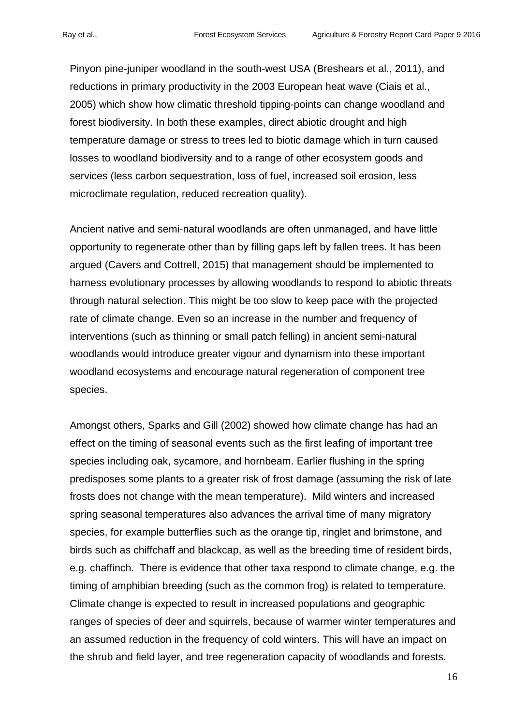Pinyon pine-juniper woodland in the south-west USA (Breshears et al., 2011), and reductions in primary productivity in the 2003 European heat wave (Ciais et al., 2005) which show how climatic threshold tipping-points can change woodland and forest biodiversity. In both these examples, direct abiotic drought and high temperature damage or stress to trees led to biotic damage which in turn caused losses to woodland biodiversity and to a range of other ecosystem goods and services (less carbon sequestration, loss of fuel, increased soil erosion, less microclimate regulation, reduced recreation quality).

Ancient native and semi-natural woodlands are often unmanaged, and have little opportunity to regenerate other than by filling gaps left by fallen trees. It has been argued (Cavers and Cottrell, 2015) that management should be implemented to harness evolutionary processes by allowing woodlands to respond to abiotic threats through natural selection. This might be too slow to keep pace with the projected rate of climate change. Even so an increase in the number and frequency of interventions (such as thinning or small patch felling) in ancient semi-natural woodlands would introduce greater vigour and dynamism into these important woodland ecosystems and encourage natural regeneration of component tree species.

Amongst others, Sparks and Gill (2002) showed how climate change has had an effect on the timing of seasonal events such as the first leafing of important tree species including oak, sycamore, and hornbeam. Earlier flushing in the spring predisposes some plants to a greater risk of frost damage (assuming the risk of late frosts does not change with the mean temperature). Mild winters and increased spring seasonal temperatures also advances the arrival time of many migratory species, for example butterflies such as the orange tip, ringlet and brimstone, and birds such as chiffchaff and blackcap, as well as the breeding time of resident birds, e.g. chaffinch. There is evidence that other taxa respond to climate change, e.g. the timing of amphibian breeding (such as the common frog) is related to temperature. Climate change is expected to result in increased populations and geographic ranges of species of deer and squirrels, because of warmer winter temperatures and an assumed reduction in the frequency of cold winters. This will have an impact on the shrub and field layer, and tree regeneration capacity of woodlands and forests.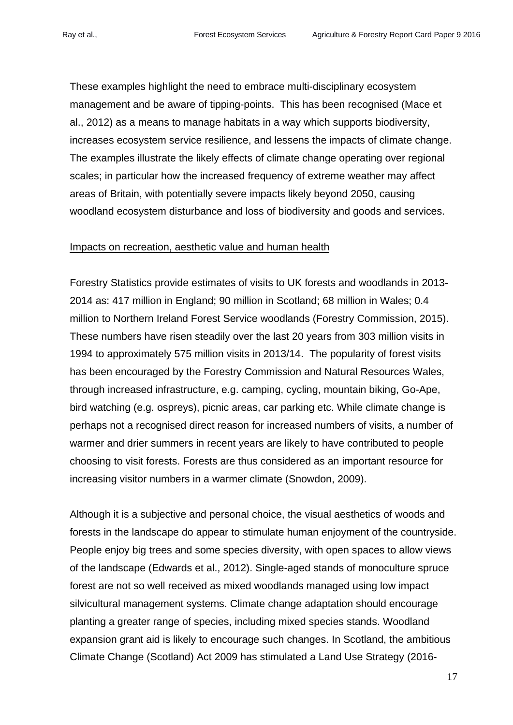These examples highlight the need to embrace multi-disciplinary ecosystem management and be aware of tipping-points. This has been recognised (Mace et al., 2012) as a means to manage habitats in a way which supports biodiversity, increases ecosystem service resilience, and lessens the impacts of climate change. The examples illustrate the likely effects of climate change operating over regional scales; in particular how the increased frequency of extreme weather may affect areas of Britain, with potentially severe impacts likely beyond 2050, causing woodland ecosystem disturbance and loss of biodiversity and goods and services.

#### Impacts on recreation, aesthetic value and human health

Forestry Statistics provide estimates of visits to UK forests and woodlands in 2013- 2014 as: 417 million in England; 90 million in Scotland; 68 million in Wales; 0.4 million to Northern Ireland Forest Service woodlands (Forestry Commission, 2015). These numbers have risen steadily over the last 20 years from 303 million visits in 1994 to approximately 575 million visits in 2013/14. The popularity of forest visits has been encouraged by the Forestry Commission and Natural Resources Wales, through increased infrastructure, e.g. camping, cycling, mountain biking, Go-Ape, bird watching (e.g. ospreys), picnic areas, car parking etc. While climate change is perhaps not a recognised direct reason for increased numbers of visits, a number of warmer and drier summers in recent years are likely to have contributed to people choosing to visit forests. Forests are thus considered as an important resource for increasing visitor numbers in a warmer climate (Snowdon, 2009).

Although it is a subjective and personal choice, the visual aesthetics of woods and forests in the landscape do appear to stimulate human enjoyment of the countryside. People enjoy big trees and some species diversity, with open spaces to allow views of the landscape (Edwards et al., 2012). Single-aged stands of monoculture spruce forest are not so well received as mixed woodlands managed using low impact silvicultural management systems. Climate change adaptation should encourage planting a greater range of species, including mixed species stands. Woodland expansion grant aid is likely to encourage such changes. In Scotland, the ambitious Climate Change (Scotland) Act 2009 has stimulated a Land Use Strategy (2016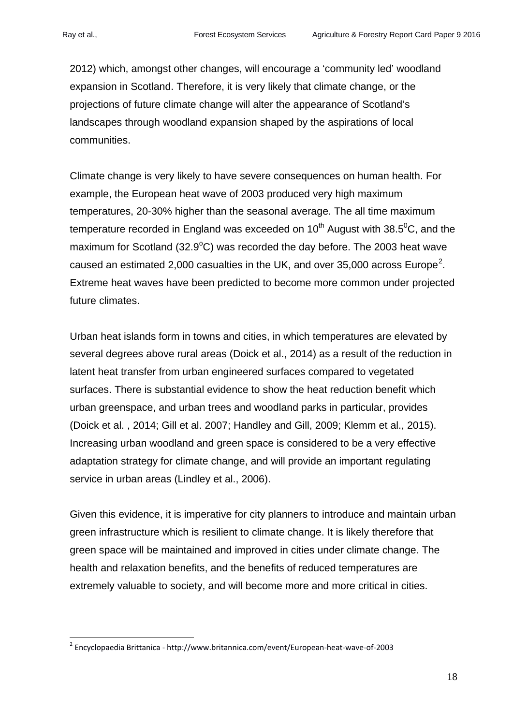2012) which, amongst other changes, will encourage a 'community led' woodland expansion in Scotland. Therefore, it is very likely that climate change, or the projections of future climate change will alter the appearance of Scotland's landscapes through woodland expansion shaped by the aspirations of local communities.

Climate change is very likely to have severe consequences on human health. For example, the European heat wave of 2003 produced very high maximum temperatures, 20-30% higher than the seasonal average. The all time maximum temperature recorded in England was exceeded on 10<sup>th</sup> August with 38.5<sup>0</sup>C, and the maximum for Scotland (32.9 $^{\circ}$ C) was recorded the day before. The 2003 heat wave caused an estimated [2](#page-17-0),000 casualties in the UK, and over 35,000 across Europe<sup>2</sup>. Extreme heat waves have been predicted to become more common under projected future climates.

Urban heat islands form in towns and cities, in which temperatures are elevated by several degrees above rural areas (Doick et al., 2014) as a result of the reduction in latent heat transfer from urban engineered surfaces compared to vegetated surfaces. There is substantial evidence to show the heat reduction benefit which urban greenspace, and urban trees and woodland parks in particular, provides (Doick et al. , 2014; Gill et al. 2007; Handley and Gill, 2009; Klemm et al., 2015). Increasing urban woodland and green space is considered to be a very effective adaptation strategy for climate change, and will provide an important regulating service in urban areas (Lindley et al., 2006).

Given this evidence, it is imperative for city planners to introduce and maintain urban green infrastructure which is resilient to climate change. It is likely therefore that green space will be maintained and improved in cities under climate change. The health and relaxation benefits, and the benefits of reduced temperatures are extremely valuable to society, and will become more and more critical in cities.

<span id="page-17-0"></span><sup>2</sup> Encyclopaedia Brittanica - http://www.britannica.com/event/European-heat-wave-of-2003 -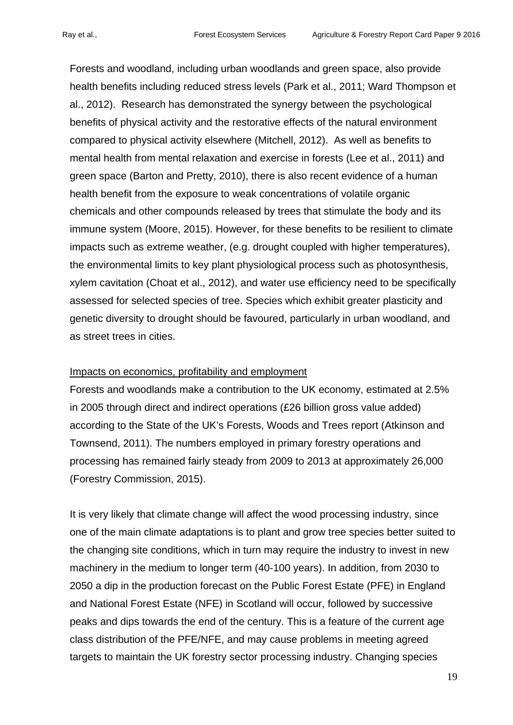Forests and woodland, including urban woodlands and green space, also provide health benefits including reduced stress levels (Park et al., 2011; Ward Thompson et al., 2012). Research has demonstrated the synergy between the psychological benefits of physical activity and the restorative effects of the natural environment compared to physical activity elsewhere (Mitchell, 2012). As well as benefits to mental health from mental relaxation and exercise in forests (Lee et al., 2011) and green space (Barton and Pretty, 2010), there is also recent evidence of a human health benefit from the exposure to weak concentrations of volatile organic chemicals and other compounds released by trees that stimulate the body and its immune system (Moore, 2015). However, for these benefits to be resilient to climate impacts such as extreme weather, (e.g. drought coupled with higher temperatures), the environmental limits to key plant physiological process such as photosynthesis, xylem cavitation (Choat et al., 2012), and water use efficiency need to be specifically assessed for selected species of tree. Species which exhibit greater plasticity and genetic diversity to drought should be favoured, particularly in urban woodland, and as street trees in cities.

#### Impacts on economics, profitability and employment

Forests and woodlands make a contribution to the UK economy, estimated at 2.5% in 2005 through direct and indirect operations (£26 billion gross value added) according to the State of the UK's Forests, Woods and Trees report (Atkinson and Townsend, 2011). The numbers employed in primary forestry operations and processing has remained fairly steady from 2009 to 2013 at approximately 26,000 (Forestry Commission, 2015).

It is very likely that climate change will affect the wood processing industry, since one of the main climate adaptations is to plant and grow tree species better suited to the changing site conditions, which in turn may require the industry to invest in new machinery in the medium to longer term (40-100 years). In addition, from 2030 to 2050 a dip in the production forecast on the Public Forest Estate (PFE) in England and National Forest Estate (NFE) in Scotland will occur, followed by successive peaks and dips towards the end of the century. This is a feature of the current age class distribution of the PFE/NFE, and may cause problems in meeting agreed targets to maintain the UK forestry sector processing industry. Changing species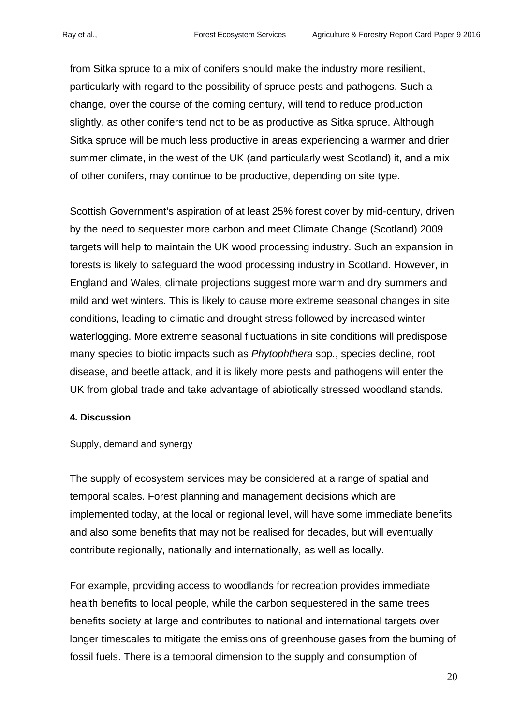from Sitka spruce to a mix of conifers should make the industry more resilient, particularly with regard to the possibility of spruce pests and pathogens. Such a change, over the course of the coming century, will tend to reduce production slightly, as other conifers tend not to be as productive as Sitka spruce. Although Sitka spruce will be much less productive in areas experiencing a warmer and drier summer climate, in the west of the UK (and particularly west Scotland) it, and a mix of other conifers, may continue to be productive, depending on site type.

Scottish Government's aspiration of at least 25% forest cover by mid-century, driven by the need to sequester more carbon and meet Climate Change (Scotland) 2009 targets will help to maintain the UK wood processing industry. Such an expansion in forests is likely to safeguard the wood processing industry in Scotland. However, in England and Wales, climate projections suggest more warm and dry summers and mild and wet winters. This is likely to cause more extreme seasonal changes in site conditions, leading to climatic and drought stress followed by increased winter waterlogging. More extreme seasonal fluctuations in site conditions will predispose many species to biotic impacts such as *Phytophthera* spp*.*, species decline, root disease, and beetle attack, and it is likely more pests and pathogens will enter the UK from global trade and take advantage of abiotically stressed woodland stands.

#### **4. Discussion**

#### Supply, demand and synergy

The supply of ecosystem services may be considered at a range of spatial and temporal scales. Forest planning and management decisions which are implemented today, at the local or regional level, will have some immediate benefits and also some benefits that may not be realised for decades, but will eventually contribute regionally, nationally and internationally, as well as locally.

For example, providing access to woodlands for recreation provides immediate health benefits to local people, while the carbon sequestered in the same trees benefits society at large and contributes to national and international targets over longer timescales to mitigate the emissions of greenhouse gases from the burning of fossil fuels. There is a temporal dimension to the supply and consumption of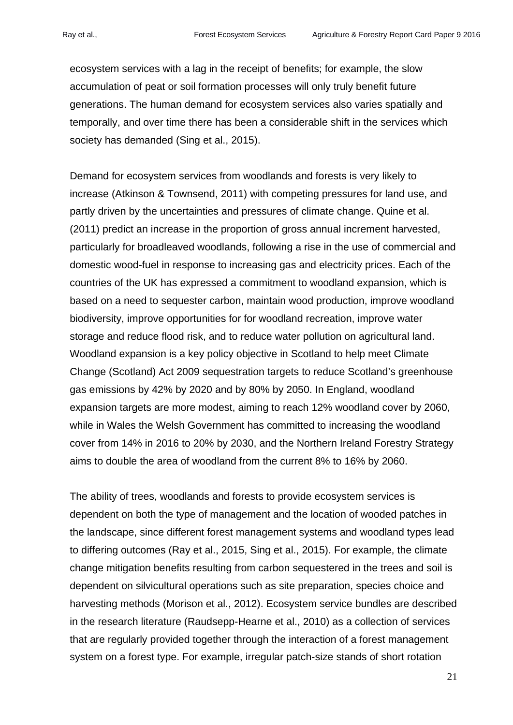ecosystem services with a lag in the receipt of benefits; for example, the slow accumulation of peat or soil formation processes will only truly benefit future generations. The human demand for ecosystem services also varies spatially and temporally, and over time there has been a considerable shift in the services which society has demanded (Sing et al., 2015).

Demand for ecosystem services from woodlands and forests is very likely to increase (Atkinson & Townsend, 2011) with competing pressures for land use, and partly driven by the uncertainties and pressures of climate change. Quine et al. (2011) predict an increase in the proportion of gross annual increment harvested, particularly for broadleaved woodlands, following a rise in the use of commercial and domestic wood-fuel in response to increasing gas and electricity prices. Each of the countries of the UK has expressed a commitment to woodland expansion, which is based on a need to sequester carbon, maintain wood production, improve woodland biodiversity, improve opportunities for for woodland recreation, improve water storage and reduce flood risk, and to reduce water pollution on agricultural land. Woodland expansion is a key policy objective in Scotland to help meet Climate Change (Scotland) Act 2009 sequestration targets to reduce Scotland's greenhouse gas emissions by 42% by 2020 and by 80% by 2050. In England, woodland expansion targets are more modest, aiming to reach 12% woodland cover by 2060, while in Wales the Welsh Government has committed to increasing the woodland cover from 14% in 2016 to 20% by 2030, and the Northern Ireland Forestry Strategy aims to double the area of woodland from the current 8% to 16% by 2060.

The ability of trees, woodlands and forests to provide ecosystem services is dependent on both the type of management and the location of wooded patches in the landscape, since different forest management systems and woodland types lead to differing outcomes (Ray et al., 2015, Sing et al., 2015). For example, the climate change mitigation benefits resulting from carbon sequestered in the trees and soil is dependent on silvicultural operations such as site preparation, species choice and harvesting methods (Morison et al., 2012). Ecosystem service bundles are described in the research literature (Raudsepp-Hearne et al., 2010) as a collection of services that are regularly provided together through the interaction of a forest management system on a forest type. For example, irregular patch-size stands of short rotation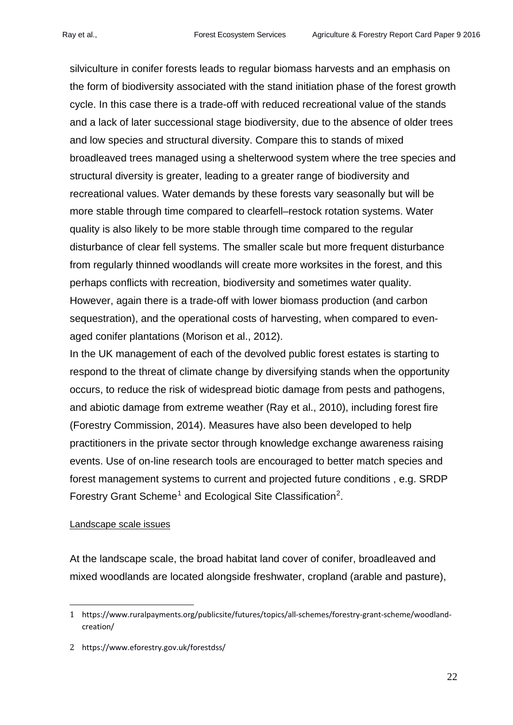silviculture in conifer forests leads to regular biomass harvests and an emphasis on the form of biodiversity associated with the stand initiation phase of the forest growth cycle. In this case there is a trade-off with reduced recreational value of the stands and a lack of later successional stage biodiversity, due to the absence of older trees and low species and structural diversity. Compare this to stands of mixed broadleaved trees managed using a shelterwood system where the tree species and structural diversity is greater, leading to a greater range of biodiversity and recreational values. Water demands by these forests vary seasonally but will be more stable through time compared to clearfell–restock rotation systems. Water quality is also likely to be more stable through time compared to the regular disturbance of clear fell systems. The smaller scale but more frequent disturbance from regularly thinned woodlands will create more worksites in the forest, and this perhaps conflicts with recreation, biodiversity and sometimes water quality. However, again there is a trade-off with lower biomass production (and carbon sequestration), and the operational costs of harvesting, when compared to evenaged conifer plantations (Morison et al., 2012).

In the UK management of each of the devolved public forest estates is starting to respond to the threat of climate change by diversifying stands when the opportunity occurs, to reduce the risk of widespread biotic damage from pests and pathogens, and abiotic damage from extreme weather (Ray et al., 2010), including forest fire (Forestry Commission, 2014). Measures have also been developed to help practitioners in the private sector through knowledge exchange awareness raising events. Use of on-line research tools are encouraged to better match species and forest management systems to current and projected future conditions , e.g. SRDP Forestry Grant Scheme<sup>[1](#page-21-0)</sup> and Ecological Site Classification<sup>[2](#page-21-1)</sup>.

# Landscape scale issues

<u>.</u>

At the landscape scale, the broad habitat land cover of conifer, broadleaved and mixed woodlands are located alongside freshwater, cropland (arable and pasture),

<span id="page-21-0"></span><sup>1</sup> https://www.ruralpayments.org/publicsite/futures/topics/all-schemes/forestry-grant-scheme/woodlandcreation/

<span id="page-21-1"></span><sup>2</sup> https://www.eforestry.gov.uk/forestdss/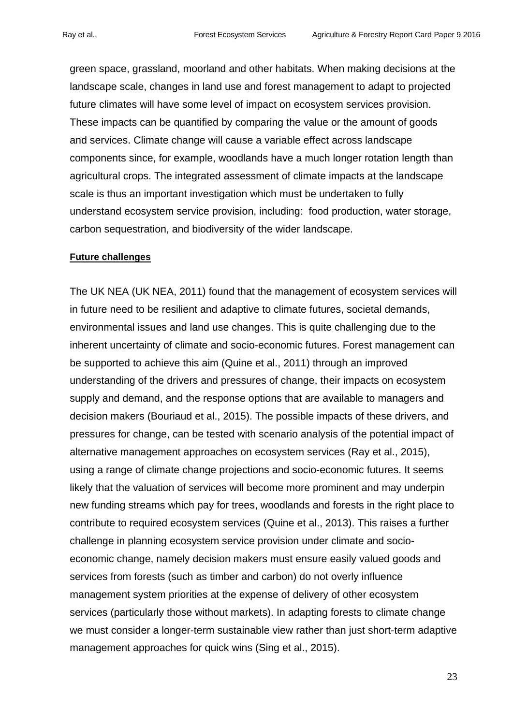green space, grassland, moorland and other habitats. When making decisions at the landscape scale, changes in land use and forest management to adapt to projected future climates will have some level of impact on ecosystem services provision. These impacts can be quantified by comparing the value or the amount of goods and services. Climate change will cause a variable effect across landscape components since, for example, woodlands have a much longer rotation length than agricultural crops. The integrated assessment of climate impacts at the landscape scale is thus an important investigation which must be undertaken to fully understand ecosystem service provision, including: food production, water storage, carbon sequestration, and biodiversity of the wider landscape.

#### **Future challenges**

The UK NEA (UK NEA, 2011) found that the management of ecosystem services will in future need to be resilient and adaptive to climate futures, societal demands, environmental issues and land use changes. This is quite challenging due to the inherent uncertainty of climate and socio-economic futures. Forest management can be supported to achieve this aim (Quine et al., 2011) through an improved understanding of the drivers and pressures of change, their impacts on ecosystem supply and demand, and the response options that are available to managers and decision makers (Bouriaud et al., 2015). The possible impacts of these drivers, and pressures for change, can be tested with scenario analysis of the potential impact of alternative management approaches on ecosystem services (Ray et al., 2015), using a range of climate change projections and socio-economic futures. It seems likely that the valuation of services will become more prominent and may underpin new funding streams which pay for trees, woodlands and forests in the right place to contribute to required ecosystem services (Quine et al., 2013). This raises a further challenge in planning ecosystem service provision under climate and socioeconomic change, namely decision makers must ensure easily valued goods and services from forests (such as timber and carbon) do not overly influence management system priorities at the expense of delivery of other ecosystem services (particularly those without markets). In adapting forests to climate change we must consider a longer-term sustainable view rather than just short-term adaptive management approaches for quick wins (Sing et al., 2015).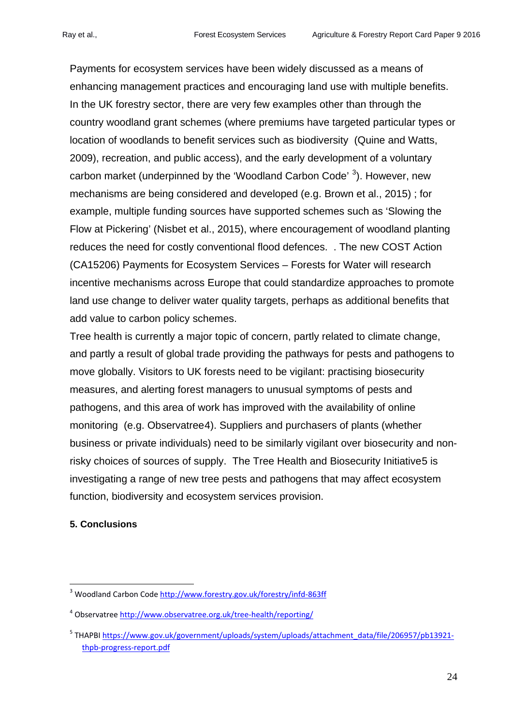Payments for ecosystem services have been widely discussed as a means of enhancing management practices and encouraging land use with multiple benefits. In the UK forestry sector, there are very few examples other than through the country woodland grant schemes (where premiums have targeted particular types or location of woodlands to benefit services such as biodiversity (Quine and Watts, 2009), recreation, and public access), and the early development of a voluntary carbon market (underpinned by the 'Woodland Carbon Code' <sup>[3](#page-23-0)</sup>). However, new mechanisms are being considered and developed (e.g. Brown et al., 2015) ; for example, multiple funding sources have supported schemes such as 'Slowing the Flow at Pickering' (Nisbet et al., 2015), where encouragement of woodland planting reduces the need for costly conventional flood defences. . The new COST Action (CA15206) Payments for Ecosystem Services – Forests for Water will research incentive mechanisms across Europe that could standardize approaches to promote land use change to deliver water quality targets, perhaps as additional benefits that add value to carbon policy schemes.

Tree health is currently a major topic of concern, partly related to climate change, and partly a result of global trade providing the pathways for pests and pathogens to move globally. Visitors to UK forests need to be vigilant: practising biosecurity measures, and alerting forest managers to unusual symptoms of pests and pathogens, and this area of work has improved with the availability of online monitoring (e.g. Observatree[4](#page-23-1)). Suppliers and purchasers of plants (whether business or private individuals) need to be similarly vigilant over biosecurity and nonrisky choices of sources of supply. The Tree Health and Biosecurity Initiative[5](#page-23-2) is investigating a range of new tree pests and pathogens that may affect ecosystem function, biodiversity and ecosystem services provision.

# **5. Conclusions**

-

<span id="page-23-0"></span><sup>3</sup> Woodland Carbon Code<http://www.forestry.gov.uk/forestry/infd-863ff>

<span id="page-23-1"></span><sup>4</sup> Observatree<http://www.observatree.org.uk/tree-health/reporting/>

<span id="page-23-2"></span><sup>&</sup>lt;sup>5</sup> THAPBI [https://www.gov.uk/government/uploads/system/uploads/attachment\\_data/file/206957/pb13921](https://www.gov.uk/government/uploads/system/uploads/attachment_data/file/206957/pb13921-thpb-progress-report.pdf) [thpb-progress-report.pdf](https://www.gov.uk/government/uploads/system/uploads/attachment_data/file/206957/pb13921-thpb-progress-report.pdf)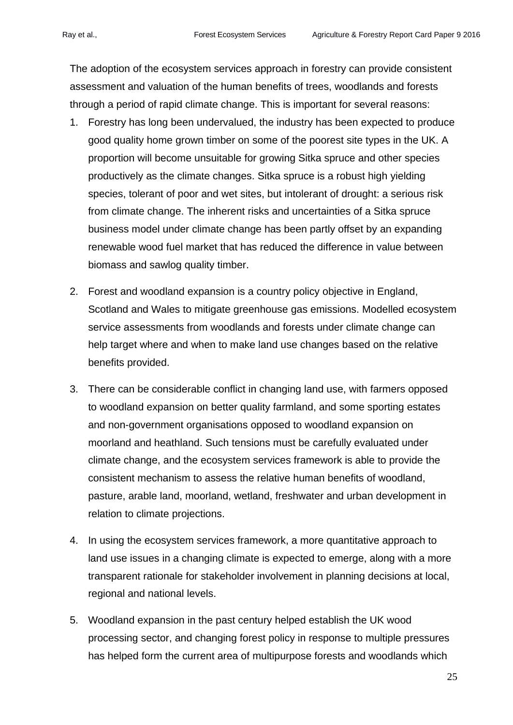The adoption of the ecosystem services approach in forestry can provide consistent assessment and valuation of the human benefits of trees, woodlands and forests through a period of rapid climate change. This is important for several reasons:

- 1. Forestry has long been undervalued, the industry has been expected to produce good quality home grown timber on some of the poorest site types in the UK. A proportion will become unsuitable for growing Sitka spruce and other species productively as the climate changes. Sitka spruce is a robust high yielding species, tolerant of poor and wet sites, but intolerant of drought: a serious risk from climate change. The inherent risks and uncertainties of a Sitka spruce business model under climate change has been partly offset by an expanding renewable wood fuel market that has reduced the difference in value between biomass and sawlog quality timber.
- 2. Forest and woodland expansion is a country policy objective in England, Scotland and Wales to mitigate greenhouse gas emissions. Modelled ecosystem service assessments from woodlands and forests under climate change can help target where and when to make land use changes based on the relative benefits provided.
- 3. There can be considerable conflict in changing land use, with farmers opposed to woodland expansion on better quality farmland, and some sporting estates and non-government organisations opposed to woodland expansion on moorland and heathland. Such tensions must be carefully evaluated under climate change, and the ecosystem services framework is able to provide the consistent mechanism to assess the relative human benefits of woodland, pasture, arable land, moorland, wetland, freshwater and urban development in relation to climate projections.
- 4. In using the ecosystem services framework, a more quantitative approach to land use issues in a changing climate is expected to emerge, along with a more transparent rationale for stakeholder involvement in planning decisions at local, regional and national levels.
- 5. Woodland expansion in the past century helped establish the UK wood processing sector, and changing forest policy in response to multiple pressures has helped form the current area of multipurpose forests and woodlands which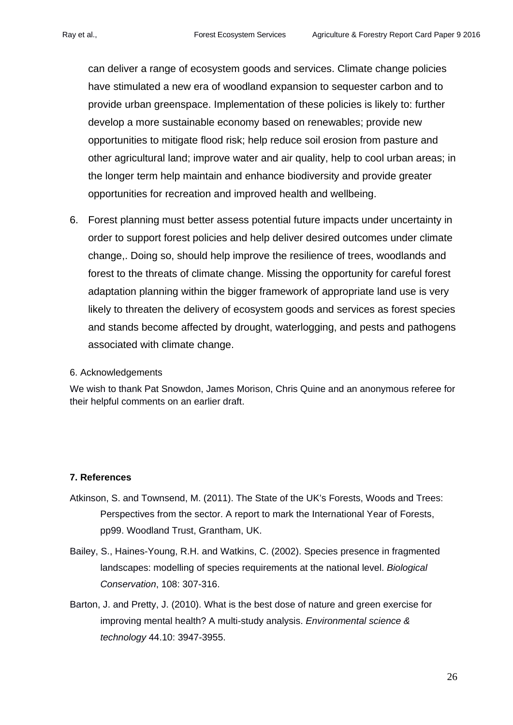can deliver a range of ecosystem goods and services. Climate change policies have stimulated a new era of woodland expansion to sequester carbon and to provide urban greenspace. Implementation of these policies is likely to: further develop a more sustainable economy based on renewables; provide new opportunities to mitigate flood risk; help reduce soil erosion from pasture and other agricultural land; improve water and air quality, help to cool urban areas; in the longer term help maintain and enhance biodiversity and provide greater opportunities for recreation and improved health and wellbeing.

6. Forest planning must better assess potential future impacts under uncertainty in order to support forest policies and help deliver desired outcomes under climate change,. Doing so, should help improve the resilience of trees, woodlands and forest to the threats of climate change. Missing the opportunity for careful forest adaptation planning within the bigger framework of appropriate land use is very likely to threaten the delivery of ecosystem goods and services as forest species and stands become affected by drought, waterlogging, and pests and pathogens associated with climate change.

#### 6. Acknowledgements

We wish to thank Pat Snowdon, James Morison, Chris Quine and an anonymous referee for their helpful comments on an earlier draft.

#### **7. References**

- Atkinson, S. and Townsend, M. (2011). The State of the UK's Forests, Woods and Trees: Perspectives from the sector. A report to mark the International Year of Forests, pp99. Woodland Trust, Grantham, UK.
- Bailey, S., Haines-Young, R.H. and Watkins, C. (2002). Species presence in fragmented landscapes: modelling of species requirements at the national level. *Biological Conservation*, 108: 307-316.
- Barton, J. and Pretty, J. (2010). What is the best dose of nature and green exercise for improving mental health? A multi-study analysis. *Environmental science & technology* 44.10: 3947-3955.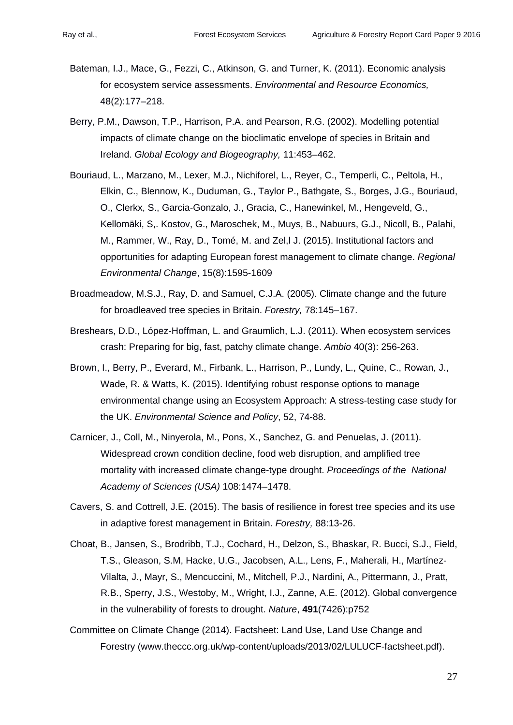- Bateman, I.J., Mace, G., Fezzi, C., Atkinson, G. and Turner, K. (2011). Economic analysis for ecosystem service assessments. *Environmental and Resource Economics,* 48(2):177–218.
- Berry, P.M., Dawson, T.P., Harrison, P.A. and Pearson, R.G. (2002). Modelling potential impacts of climate change on the bioclimatic envelope of species in Britain and Ireland. *Global Ecology and Biogeography,* 11:453–462.
- Bouriaud, L., Marzano, M., Lexer, M.J., Nichiforel, L., Reyer, C., Temperli, C., Peltola, H., Elkin, C., Blennow, K., Duduman, G., Taylor P., Bathgate, S., Borges, J.G., Bouriaud, O., Clerkx, S., Garcia-Gonzalo, J., Gracia, C., Hanewinkel, M., Hengeveld, G., Kellomäki, S,. Kostov, G., Maroschek, M., Muys, B., Nabuurs, G.J., Nicoll, B., Palahi, M., Rammer, W., Ray, D., Tomé, M. and Zel,l J. (2015). Institutional factors and opportunities for adapting European forest management to climate change. *Regional Environmental Change*, 15(8):1595-1609
- Broadmeadow, M.S.J., Ray, D. and Samuel, C.J.A. (2005). Climate change and the future for broadleaved tree species in Britain. *Forestry,* 78:145–167.
- Breshears, D.D., López-Hoffman, L. and Graumlich, L.J. (2011). When ecosystem services crash: Preparing for big, fast, patchy climate change. *Ambio* 40(3): 256-263.
- Brown, I., Berry, P., Everard, M., Firbank, L., Harrison, P., Lundy, L., Quine, C., Rowan, J., Wade, R. & Watts, K. (2015). Identifying robust response options to manage environmental change using an Ecosystem Approach: A stress-testing case study for the UK. *Environmental Science and Policy*, 52, 74-88.
- Carnicer, J., Coll, M., Ninyerola, M., Pons, X., Sanchez, G. and Penuelas, J. (2011). Widespread crown condition decline, food web disruption, and amplified tree mortality with increased climate change-type drought. *Proceedings of the National Academy of Sciences (USA)* 108:1474–1478.
- Cavers, S. and Cottrell, J.E. (2015). The basis of resilience in forest tree species and its use in adaptive forest management in Britain. *Forestry,* 88:13-26.
- Choat, B., Jansen, S., Brodribb, T.J., Cochard, H., Delzon, S., Bhaskar, R. Bucci, S.J., Field, T.S., Gleason, S.M, Hacke, U.G., Jacobsen, A.L., Lens, F., Maherali, H., Martínez-Vilalta, J., Mayr, S., Mencuccini, M., Mitchell, P.J., Nardini, A., Pittermann, J., Pratt, R.B., Sperry, J.S., Westoby, M., Wright, I.J., Zanne, A.E. (2012). Global convergence in the vulnerability of forests to drought. *Nature*, **491**(7426):p752
- Committee on Climate Change (2014). Factsheet: Land Use, Land Use Change and Forestry (www.theccc.org.uk/wp-content/uploads/2013/02/LULUCF-factsheet.pdf).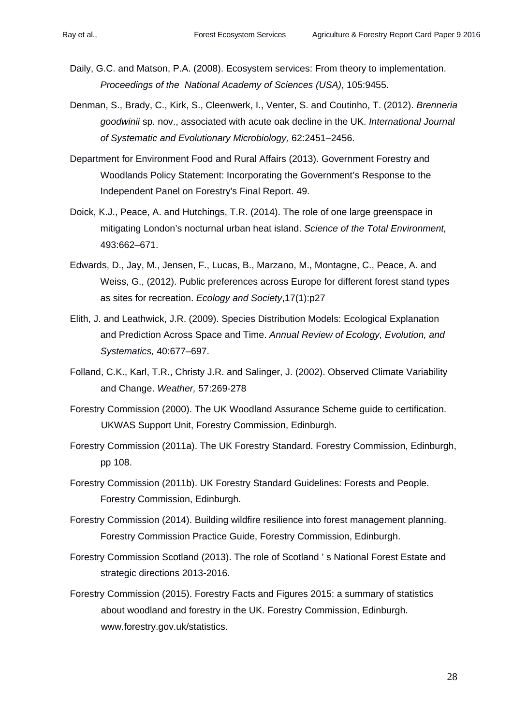- Daily, G.C. and Matson, P.A. (2008). Ecosystem services: From theory to implementation. *Proceedings of the National Academy of Sciences (USA)*, 105:9455.
- Denman, S., Brady, C., Kirk, S., Cleenwerk, I., Venter, S. and Coutinho, T. (2012). *Brenneria goodwinii* sp. nov., associated with acute oak decline in the UK. *International Journal of Systematic and Evolutionary Microbiology,* 62:2451–2456.
- Department for Environment Food and Rural Affairs (2013). Government Forestry and Woodlands Policy Statement: Incorporating the Government's Response to the Independent Panel on Forestry's Final Report. 49.
- Doick, K.J., Peace, A. and Hutchings, T.R. (2014). The role of one large greenspace in mitigating London's nocturnal urban heat island. *Science of the Total Environment,* 493:662–671.
- Edwards, D., Jay, M., Jensen, F., Lucas, B., Marzano, M., Montagne, C., Peace, A. and Weiss, G., (2012). Public preferences across Europe for different forest stand types as sites for recreation. *Ecology and Society*,17(1):p27
- Elith, J. and Leathwick, J.R. (2009). Species Distribution Models: Ecological Explanation and Prediction Across Space and Time. *Annual Review of Ecology, Evolution, and Systematics,* 40:677–697.
- Folland, C.K., Karl, T.R., Christy J.R. and Salinger, J. (2002). Observed Climate Variability and Change. *Weather,* 57:269-278
- Forestry Commission (2000). The UK Woodland Assurance Scheme guide to certification. UKWAS Support Unit, Forestry Commission, Edinburgh.
- Forestry Commission (2011a). The UK Forestry Standard. Forestry Commission, Edinburgh, pp 108.
- Forestry Commission (2011b). UK Forestry Standard Guidelines: Forests and People. Forestry Commission, Edinburgh.
- Forestry Commission (2014). Building wildfire resilience into forest management planning. Forestry Commission Practice Guide, Forestry Commission, Edinburgh.
- Forestry Commission Scotland (2013). The role of Scotland ' s National Forest Estate and strategic directions 2013-2016.
- Forestry Commission (2015). Forestry Facts and Figures 2015: a summary of statistics about woodland and forestry in the UK. Forestry Commission, Edinburgh. www.forestry.gov.uk/statistics.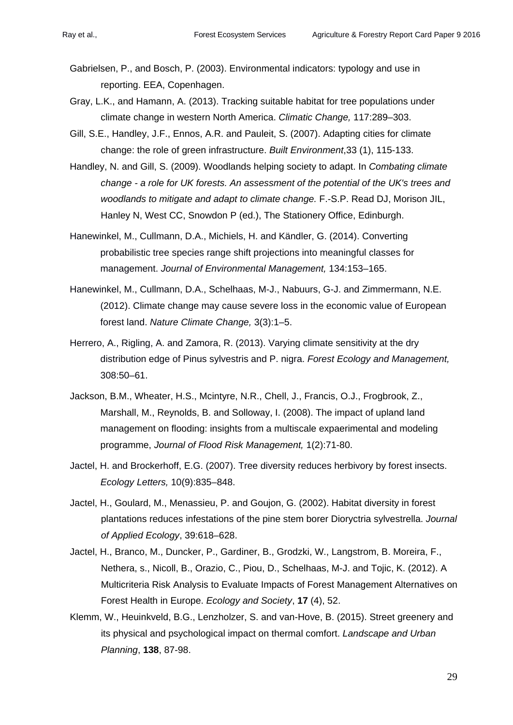- Gabrielsen, P., and Bosch, P. (2003). Environmental indicators: typology and use in reporting. EEA, Copenhagen.
- Gray, L.K., and Hamann, A. (2013). Tracking suitable habitat for tree populations under climate change in western North America. *Climatic Change,* 117:289–303.
- Gill, S.E., Handley, J.F., Ennos, A.R. and Pauleit, S. (2007). Adapting cities for climate change: the role of green infrastructure. *Built Environment*,33 (1), 115-133.
- Handley, N. and Gill, S. (2009). Woodlands helping society to adapt. In *Combating climate change - a role for UK forests. An assessment of the potential of the UK's trees and woodlands to mitigate and adapt to climate change.* F.-S.P. Read DJ, Morison JIL, Hanley N, West CC, Snowdon P (ed.), The Stationery Office, Edinburgh.
- Hanewinkel, M., Cullmann, D.A., Michiels, H. and Kändler, G. (2014). Converting probabilistic tree species range shift projections into meaningful classes for management. *Journal of Environmental Management,* 134:153–165.
- Hanewinkel, M., Cullmann, D.A., Schelhaas, M-J., Nabuurs, G-J. and Zimmermann, N.E. (2012). Climate change may cause severe loss in the economic value of European forest land. *Nature Climate Change,* 3(3):1–5.
- Herrero, A., Rigling, A. and Zamora, R. (2013). Varying climate sensitivity at the dry distribution edge of Pinus sylvestris and P. nigra. *Forest Ecology and Management,* 308:50–61.
- Jackson, B.M., Wheater, H.S., Mcintyre, N.R., Chell, J., Francis, O.J., Frogbrook, Z., Marshall, M., Reynolds, B. and Solloway, I. (2008). The impact of upland land management on flooding: insights from a multiscale expaerimental and modeling programme, *Journal of Flood Risk Management,* 1(2):71-80.
- Jactel, H. and Brockerhoff, E.G. (2007). Tree diversity reduces herbivory by forest insects. *Ecology Letters,* 10(9):835–848.
- Jactel, H., Goulard, M., Menassieu, P. and Goujon, G. (2002). Habitat diversity in forest plantations reduces infestations of the pine stem borer Dioryctria sylvestrella. *Journal of Applied Ecology*, 39:618–628.
- Jactel, H., Branco, M., Duncker, P., Gardiner, B., Grodzki, W., Langstrom, B. Moreira, F., Nethera, s., Nicoll, B., Orazio, C., Piou, D., Schelhaas, M-J. and Tojic, K. (2012). A Multicriteria Risk Analysis to Evaluate Impacts of Forest Management Alternatives on Forest Health in Europe. *Ecology and Society*, **17** (4), 52.
- Klemm, W., Heuinkveld, B.G., Lenzholzer, S. and van-Hove, B. (2015). Street greenery and its physical and psychological impact on thermal comfort. *Landscape and Urban Planning*, **138**, 87-98.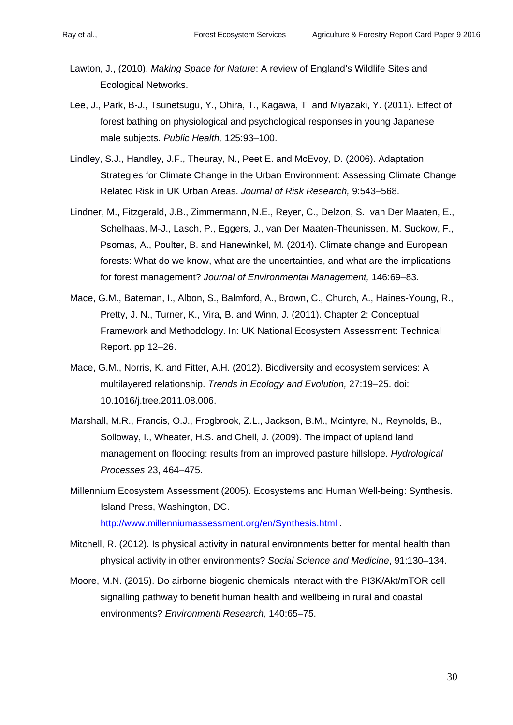- Lawton, J., (2010). *Making Space for Nature*: A review of England's Wildlife Sites and Ecological Networks.
- Lee, J., Park, B-J., Tsunetsugu, Y., Ohira, T., Kagawa, T. and Miyazaki, Y. (2011). Effect of forest bathing on physiological and psychological responses in young Japanese male subjects. *Public Health,* 125:93–100.
- Lindley, S.J., Handley, J.F., Theuray, N., Peet E. and McEvoy, D. (2006). Adaptation Strategies for Climate Change in the Urban Environment: Assessing Climate Change Related Risk in UK Urban Areas. *Journal of Risk Research,* 9:543–568.
- Lindner, M., Fitzgerald, J.B., Zimmermann, N.E., Reyer, C., Delzon, S., van Der Maaten, E., Schelhaas, M-J., Lasch, P., Eggers, J., van Der Maaten-Theunissen, M. Suckow, F., Psomas, A., Poulter, B. and Hanewinkel, M. (2014). Climate change and European forests: What do we know, what are the uncertainties, and what are the implications for forest management? *Journal of Environmental Management,* 146:69–83.
- Mace, G.M., Bateman, I., Albon, S., Balmford, A., Brown, C., Church, A., Haines-Young, R., Pretty, J. N., Turner, K., Vira, B. and Winn, J. (2011). Chapter 2: Conceptual Framework and Methodology. In: UK National Ecosystem Assessment: Technical Report. pp 12–26.
- Mace, G.M., Norris, K. and Fitter, A.H. (2012). Biodiversity and ecosystem services: A multilayered relationship. *Trends in Ecology and Evolution,* 27:19–25. doi: 10.1016/j.tree.2011.08.006.
- Marshall, M.R., Francis, O.J., Frogbrook, Z.L., Jackson, B.M., Mcintyre, N., Reynolds, B., Solloway, I., Wheater, H.S. and Chell, J. (2009). The impact of upland land management on flooding: results from an improved pasture hillslope. *Hydrological Processes* 23, 464–475.
- Millennium Ecosystem Assessment (2005). Ecosystems and Human Well-being: Synthesis. Island Press, Washington, DC. <http://www.millenniumassessment.org/en/Synthesis.html> .
- Mitchell, R. (2012). Is physical activity in natural environments better for mental health than physical activity in other environments? *Social Science and Medicine*, 91:130–134.
- Moore, M.N. (2015). Do airborne biogenic chemicals interact with the PI3K/Akt/mTOR cell signalling pathway to benefit human health and wellbeing in rural and coastal environments? *Environmentl Research,* 140:65–75.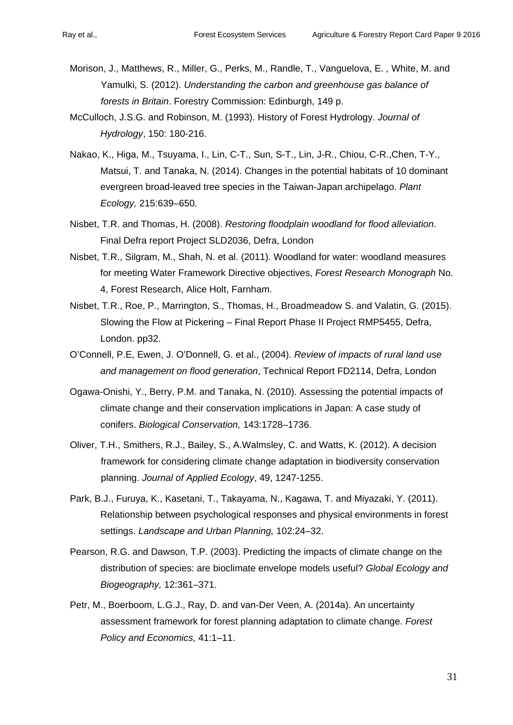- Morison, J., Matthews, R., Miller, G., Perks, M., Randle, T., Vanguelova, E. *,* White, M. and Yamulki, S. (2012). *Understanding the carbon and greenhouse gas balance of forests in Britain*. Forestry Commission: Edinburgh, 149 p.
- McCulloch, J.S.G. and Robinson, M. (1993). History of Forest Hydrology. *Journal of Hydrology*, 150: 180-216.
- Nakao, K., Higa, M., Tsuyama, I., Lin, C-T., Sun, S-T., Lin, J-R., Chiou, C-R.,Chen, T-Y., Matsui, T. and Tanaka, N. (2014). Changes in the potential habitats of 10 dominant evergreen broad-leaved tree species in the Taiwan-Japan archipelago. *Plant Ecology,* 215:639–650.
- Nisbet, T.R. and Thomas, H. (2008). *Restoring floodplain woodland for flood alleviation*. Final Defra report Project SLD2036, Defra, London
- Nisbet, T.R., Silgram, M., Shah, N. et al. (2011). Woodland for water: woodland measures for meeting Water Framework Directive objectives, *Forest Research Monograph* No. 4, Forest Research, Alice Holt, Farnham.
- Nisbet, T.R., Roe, P., Marrington, S., Thomas, H., Broadmeadow S. and Valatin, G. (2015). Slowing the Flow at Pickering – Final Report Phase II Project RMP5455, Defra, London. pp32.
- O'Connell, P.E, Ewen, J. O'Donnell, G. et al., (2004). *Review of impacts of rural land use and management on flood generation*, Technical Report FD2114, Defra, London
- Ogawa-Onishi, Y., Berry, P.M. and Tanaka, N. (2010). Assessing the potential impacts of climate change and their conservation implications in Japan: A case study of conifers. *Biological Conservation,* 143:1728–1736.
- Oliver, T.H., Smithers, R.J., Bailey, S., A.Walmsley, C. and Watts, K. (2012). A decision framework for considering climate change adaptation in biodiversity conservation planning. *Journal of Applied Ecology*, 49, 1247-1255.
- Park, B.J., Furuya, K., Kasetani, T., Takayama, N., Kagawa, T. and Miyazaki, Y. (2011). Relationship between psychological responses and physical environments in forest settings. *Landscape and Urban Planning,* 102:24–32.
- Pearson, R.G. and Dawson, T.P. (2003). Predicting the impacts of climate change on the distribution of species: are bioclimate envelope models useful? *Global Ecology and Biogeography,* 12:361–371.
- Petr, M., Boerboom, L.G.J., Ray, D. and van-Der Veen, A. (2014a). An uncertainty assessment framework for forest planning adaptation to climate change. *Forest Policy and Economics,* 41:1–11.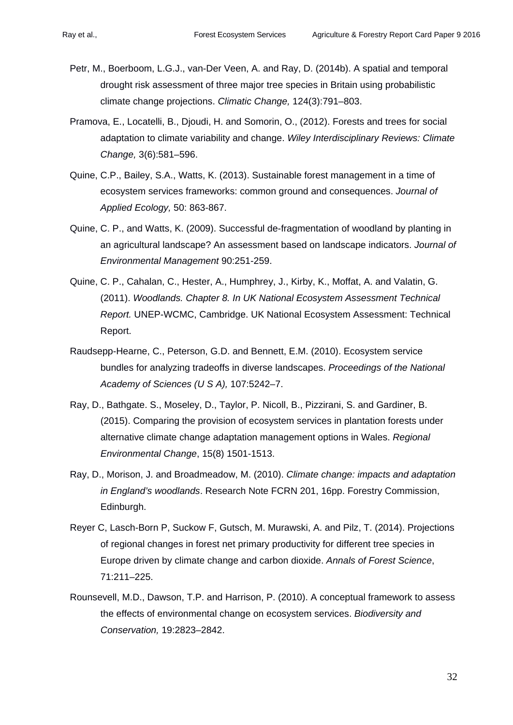- Petr, M., Boerboom, L.G.J., van-Der Veen, A. and Ray, D. (2014b). A spatial and temporal drought risk assessment of three major tree species in Britain using probabilistic climate change projections. *Climatic Change,* 124(3):791–803.
- Pramova, E., Locatelli, B., Djoudi, H. and Somorin, O., (2012). Forests and trees for social adaptation to climate variability and change. *Wiley Interdisciplinary Reviews: Climate Change,* 3(6):581–596.
- Quine, C.P., Bailey, S.A., Watts, K. (2013). Sustainable forest management in a time of ecosystem services frameworks: common ground and consequences. *Journal of Applied Ecology,* 50: 863-867.
- Quine, C. P., and Watts, K. (2009). Successful de-fragmentation of woodland by planting in an agricultural landscape? An assessment based on landscape indicators. *Journal of Environmental Management* 90:251-259.
- Quine, C. P., Cahalan, C., Hester, A., Humphrey, J., Kirby, K., Moffat, A. and Valatin, G. (2011). *Woodlands. Chapter 8. In UK National Ecosystem Assessment Technical Report.* UNEP-WCMC, Cambridge. UK National Ecosystem Assessment: Technical Report.
- Raudsepp-Hearne, C., Peterson, G.D. and Bennett, E.M. (2010). Ecosystem service bundles for analyzing tradeoffs in diverse landscapes. *Proceedings of the National Academy of Sciences (U S A),* 107:5242–7.
- Ray, D., Bathgate. S., Moseley, D., Taylor, P. Nicoll, B., Pizzirani, S. and Gardiner, B. (2015). Comparing the provision of ecosystem services in plantation forests under alternative climate change adaptation management options in Wales. *Regional Environmental Change*, 15(8) 1501-1513.
- Ray, D., Morison, J. and Broadmeadow, M. (2010). *Climate change: impacts and adaptation in England's woodlands*. Research Note FCRN 201, 16pp. Forestry Commission, Edinburgh.
- Reyer C, Lasch-Born P, Suckow F, Gutsch, M. Murawski, A. and Pilz, T. (2014). Projections of regional changes in forest net primary productivity for different tree species in Europe driven by climate change and carbon dioxide. *Annals of Forest Science*, 71:211–225.
- Rounsevell, M.D., Dawson, T.P. and Harrison, P. (2010). A conceptual framework to assess the effects of environmental change on ecosystem services. *Biodiversity and Conservation,* 19:2823–2842.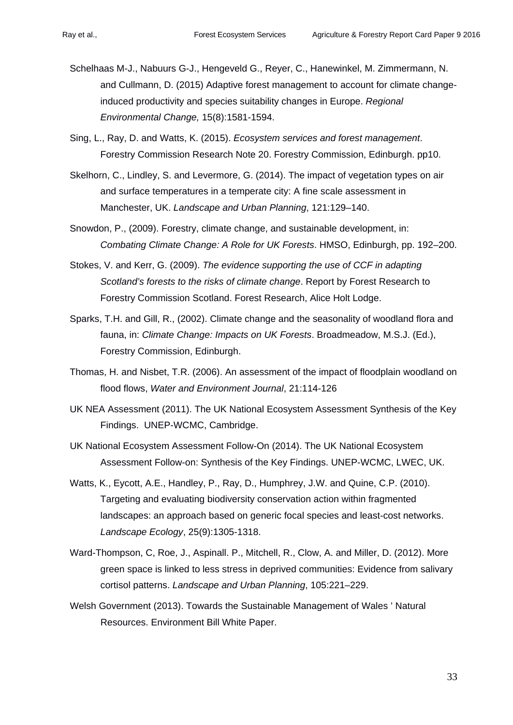- Schelhaas M-J., Nabuurs G-J., Hengeveld G., Reyer, C., Hanewinkel, M. Zimmermann, N. and Cullmann, D. (2015) Adaptive forest management to account for climate changeinduced productivity and species suitability changes in Europe. *Regional Environmental Change,* 15(8):1581-1594.
- Sing, L., Ray, D. and Watts, K. (2015). *Ecosystem services and forest management*. Forestry Commission Research Note 20. Forestry Commission, Edinburgh. pp10.
- Skelhorn, C., Lindley, S. and Levermore, G. (2014). The impact of vegetation types on air and surface temperatures in a temperate city: A fine scale assessment in Manchester, UK. *Landscape and Urban Planning*, 121:129–140.
- Snowdon, P., (2009). Forestry, climate change, and sustainable development, in: *Combating Climate Change: A Role for UK Forests*. HMSO, Edinburgh, pp. 192–200.
- Stokes, V. and Kerr, G. (2009). *The evidence supporting the use of CCF in adapting Scotland's forests to the risks of climate change*. Report by Forest Research to Forestry Commission Scotland. Forest Research, Alice Holt Lodge.
- Sparks, T.H. and Gill, R., (2002). Climate change and the seasonality of woodland flora and fauna, in: *Climate Change: Impacts on UK Forests*. Broadmeadow, M.S.J. (Ed.), Forestry Commission, Edinburgh.
- Thomas, H. and Nisbet, T.R. (2006). An assessment of the impact of floodplain woodland on flood flows, *Water and Environment Journal*, 21:114-126
- UK NEA Assessment (2011). The UK National Ecosystem Assessment Synthesis of the Key Findings. UNEP-WCMC, Cambridge.
- UK National Ecosystem Assessment Follow-On (2014). The UK National Ecosystem Assessment Follow-on: Synthesis of the Key Findings. UNEP-WCMC, LWEC, UK.
- Watts, K., Eycott, A.E., Handley, P., Ray, D., Humphrey, J.W. and Quine, C.P. (2010). Targeting and evaluating biodiversity conservation action within fragmented landscapes: an approach based on generic focal species and least-cost networks. *Landscape Ecology*, 25(9):1305-1318.
- Ward-Thompson, C, Roe, J., Aspinall. P., Mitchell, R., Clow, A. and Miller, D. (2012). More green space is linked to less stress in deprived communities: Evidence from salivary cortisol patterns. *Landscape and Urban Planning*, 105:221–229.
- Welsh Government (2013). Towards the Sustainable Management of Wales ' Natural Resources. Environment Bill White Paper.